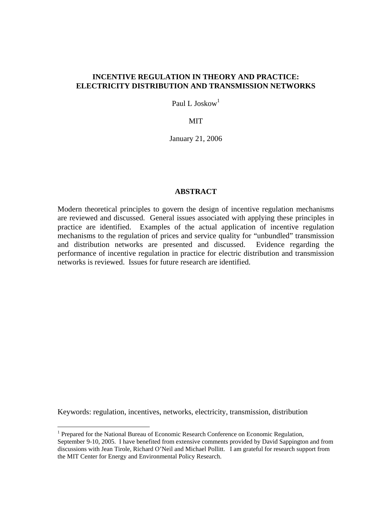# **INCENTIVE REGULATION IN THEORY AND PRACTICE: ELECTRICITY DISTRIBUTION AND TRANSMISSION NETWORKS**

Paul L Joskow<sup>1</sup>

MIT

January 21, 2006

# **ABSTRACT**

Modern theoretical principles to govern the design of incentive regulation mechanisms are reviewed and discussed. General issues associated with applying these principles in practice are identified. Examples of the actual application of incentive regulation mechanisms to the regulation of prices and service quality for "unbundled" transmission and distribution networks are presented and discussed. Evidence regarding the performance of incentive regulation in practice for electric distribution and transmission networks is reviewed. Issues for future research are identified.

Keywords: regulation, incentives, networks, electricity, transmission, distribution

The Terrer of the National Bureau of Economic Research Conference on Economic Regulation, September 9-10, 2005. I have benefited from extensive comments provided by David Sappington and from discussions with Jean Tirole, Richard O'Neil and Michael Pollitt. I am grateful for research support from the MIT Center for Energy and Environmental Policy Research.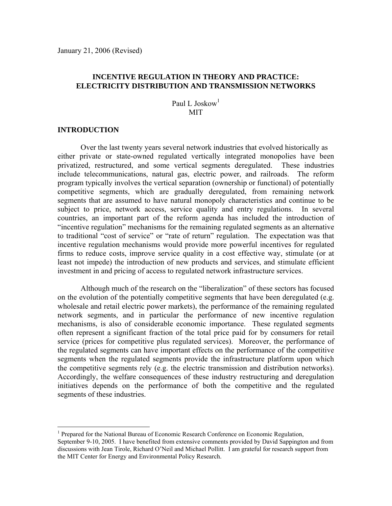# **INCENTIVE REGULATION IN THEORY AND PRACTICE: ELECTRICITY DISTRIBUTION AND TRANSMISSION NETWORKS**

# Paul L Joskow<sup>1</sup> MIT

# **INTRODUCTION**

<u>.</u>

Over the last twenty years several network industries that evolved historically as either private or state-owned regulated vertically integrated monopolies have been privatized, restructured, and some vertical segments deregulated. These industries include telecommunications, natural gas, electric power, and railroads. The reform program typically involves the vertical separation (ownership or functional) of potentially competitive segments, which are gradually deregulated, from remaining network segments that are assumed to have natural monopoly characteristics and continue to be subject to price, network access, service quality and entry regulations. In several countries, an important part of the reform agenda has included the introduction of "incentive regulation" mechanisms for the remaining regulated segments as an alternative to traditional "cost of service" or "rate of return" regulation. The expectation was that incentive regulation mechanisms would provide more powerful incentives for regulated firms to reduce costs, improve service quality in a cost effective way, stimulate (or at least not impede) the introduction of new products and services, and stimulate efficient investment in and pricing of access to regulated network infrastructure services.

 Although much of the research on the "liberalization" of these sectors has focused on the evolution of the potentially competitive segments that have been deregulated (e.g. wholesale and retail electric power markets), the performance of the remaining regulated network segments, and in particular the performance of new incentive regulation mechanisms, is also of considerable economic importance. These regulated segments often represent a significant fraction of the total price paid for by consumers for retail service (prices for competitive plus regulated services). Moreover, the performance of the regulated segments can have important effects on the performance of the competitive segments when the regulated segments provide the infrastructure platform upon which the competitive segments rely (e.g. the electric transmission and distribution networks). Accordingly, the welfare consequences of these industry restructuring and deregulation initiatives depends on the performance of both the competitive and the regulated segments of these industries.

<sup>&</sup>lt;sup>1</sup> Prepared for the National Bureau of Economic Research Conference on Economic Regulation, September 9-10, 2005. I have benefited from extensive comments provided by David Sappington and from discussions with Jean Tirole, Richard O'Neil and Michael Pollitt. I am grateful for research support from the MIT Center for Energy and Environmental Policy Research.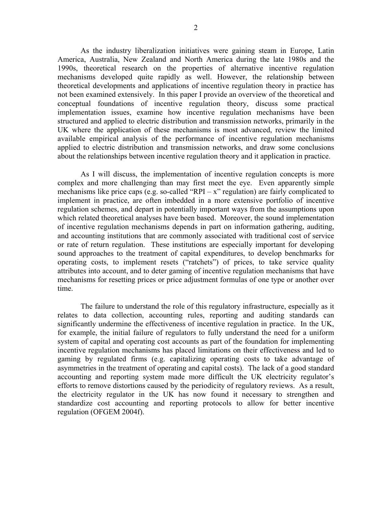As the industry liberalization initiatives were gaining steam in Europe, Latin America, Australia, New Zealand and North America during the late 1980s and the 1990s, theoretical research on the properties of alternative incentive regulation mechanisms developed quite rapidly as well. However, the relationship between theoretical developments and applications of incentive regulation theory in practice has not been examined extensively. In this paper I provide an overview of the theoretical and conceptual foundations of incentive regulation theory, discuss some practical implementation issues, examine how incentive regulation mechanisms have been structured and applied to electric distribution and transmission networks, primarily in the UK where the application of these mechanisms is most advanced, review the limited available empirical analysis of the performance of incentive regulation mechanisms applied to electric distribution and transmission networks, and draw some conclusions about the relationships between incentive regulation theory and it application in practice.

As I will discuss, the implementation of incentive regulation concepts is more complex and more challenging than may first meet the eye. Even apparently simple mechanisms like price caps (e.g. so-called "RPI – x" regulation) are fairly complicated to implement in practice, are often imbedded in a more extensive portfolio of incentive regulation schemes, and depart in potentially important ways from the assumptions upon which related theoretical analyses have been based. Moreover, the sound implementation of incentive regulation mechanisms depends in part on information gathering, auditing, and accounting institutions that are commonly associated with traditional cost of service or rate of return regulation. These institutions are especially important for developing sound approaches to the treatment of capital expenditures, to develop benchmarks for operating costs, to implement resets ("ratchets") of prices, to take service quality attributes into account, and to deter gaming of incentive regulation mechanisms that have mechanisms for resetting prices or price adjustment formulas of one type or another over time.

The failure to understand the role of this regulatory infrastructure, especially as it relates to data collection, accounting rules, reporting and auditing standards can significantly undermine the effectiveness of incentive regulation in practice. In the UK, for example, the initial failure of regulators to fully understand the need for a uniform system of capital and operating cost accounts as part of the foundation for implementing incentive regulation mechanisms has placed limitations on their effectiveness and led to gaming by regulated firms (e.g. capitalizing operating costs to take advantage of asymmetries in the treatment of operating and capital costs). The lack of a good standard accounting and reporting system made more difficult the UK electricity regulator's efforts to remove distortions caused by the periodicity of regulatory reviews. As a result, the electricity regulator in the UK has now found it necessary to strengthen and standardize cost accounting and reporting protocols to allow for better incentive regulation (OFGEM 2004f).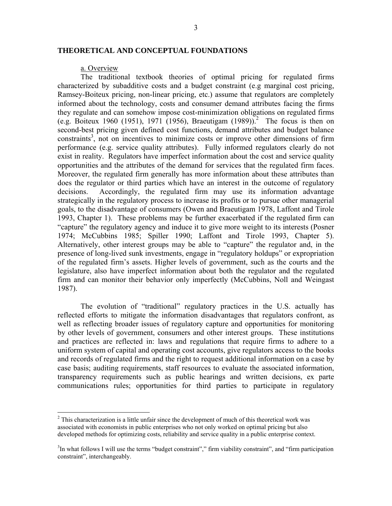## **THEORETICAL AND CONCEPTUAL FOUNDATIONS**

#### a. Overview

1

 The traditional textbook theories of optimal pricing for regulated firms characterized by subadditive costs and a budget constraint (e.g marginal cost pricing, Ramsey-Boiteux pricing, non-linear pricing, etc.) assume that regulators are completely informed about the technology, costs and consumer demand attributes facing the firms they regulate and can somehow impose cost-minimization obligations on regulated firms (e.g. Boiteux 1960 (1951), 1971 (1956), Braeutigam (1989)).<sup>2</sup> The focus is then on second-best pricing given defined cost functions, demand attributes and budget balance constraints<sup>3</sup>, not on incentives to minimize costs or improve other dimensions of firm performance (e.g. service quality attributes). Fully informed regulators clearly do not exist in reality. Regulators have imperfect information about the cost and service quality opportunities and the attributes of the demand for services that the regulated firm faces. Moreover, the regulated firm generally has more information about these attributes than does the regulator or third parties which have an interest in the outcome of regulatory decisions. Accordingly, the regulated firm may use its information advantage strategically in the regulatory process to increase its profits or to pursue other managerial goals, to the disadvantage of consumers (Owen and Braeutigam 1978, Laffont and Tirole 1993, Chapter 1). These problems may be further exacerbated if the regulated firm can "capture" the regulatory agency and induce it to give more weight to its interests (Posner 1974; McCubbins 1985; Spiller 1990; Laffont and Tirole 1993, Chapter 5). Alternatively, other interest groups may be able to "capture" the regulator and, in the presence of long-lived sunk investments, engage in "regulatory holdups" or expropriation of the regulated firm's assets. Higher levels of government, such as the courts and the legislature, also have imperfect information about both the regulator and the regulated firm and can monitor their behavior only imperfectly (McCubbins, Noll and Weingast 1987).

The evolution of "traditional" regulatory practices in the U.S. actually has reflected efforts to mitigate the information disadvantages that regulators confront, as well as reflecting broader issues of regulatory capture and opportunities for monitoring by other levels of government, consumers and other interest groups. These institutions and practices are reflected in: laws and regulations that require firms to adhere to a uniform system of capital and operating cost accounts, give regulators access to the books and records of regulated firms and the right to request additional information on a case by case basis; auditing requirements, staff resources to evaluate the associated information, transparency requirements such as public hearings and written decisions, ex parte communications rules; opportunities for third parties to participate in regulatory

 $2<sup>2</sup>$  This characterization is a little unfair since the development of much of this theoretical work was associated with economists in public enterprises who not only worked on optimal pricing but also developed methods for optimizing costs, reliability and service quality in a public enterprise context.

<sup>&</sup>lt;sup>3</sup>In what follows I will use the terms "budget constraint"," firm viability constraint", and "firm participation constraint", interchangeably.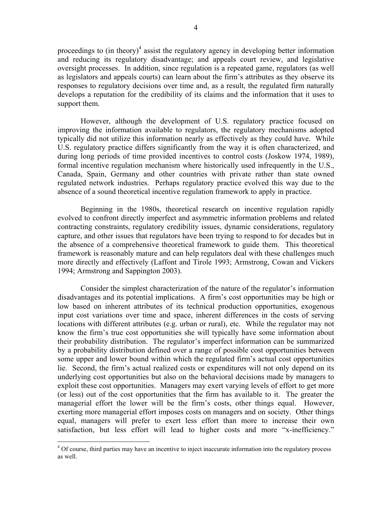proceedings to (in theory)<sup>4</sup> assist the regulatory agency in developing better information and reducing its regulatory disadvantage; and appeals court review, and legislative oversight processes. In addition, since regulation is a repeated game, regulators (as well as legislators and appeals courts) can learn about the firm's attributes as they observe its responses to regulatory decisions over time and, as a result, the regulated firm naturally develops a reputation for the credibility of its claims and the information that it uses to support them.

However, although the development of U.S. regulatory practice focused on improving the information available to regulators, the regulatory mechanisms adopted typically did not utilize this information nearly as effectively as they could have. While U.S. regulatory practice differs significantly from the way it is often characterized, and during long periods of time provided incentives to control costs (Joskow 1974, 1989), formal incentive regulation mechanism where historically used infrequently in the U.S., Canada, Spain, Germany and other countries with private rather than state owned regulated network industries. Perhaps regulatory practice evolved this way due to the absence of a sound theoretical incentive regulation framework to apply in practice.

Beginning in the 1980s, theoretical research on incentive regulation rapidly evolved to confront directly imperfect and asymmetric information problems and related contracting constraints, regulatory credibility issues, dynamic considerations, regulatory capture, and other issues that regulators have been trying to respond to for decades but in the absence of a comprehensive theoretical framework to guide them. This theoretical framework is reasonably mature and can help regulators deal with these challenges much more directly and effectively (Laffont and Tirole 1993; Armstrong, Cowan and Vickers 1994; Armstrong and Sappington 2003).

 Consider the simplest characterization of the nature of the regulator's information disadvantages and its potential implications. A firm's cost opportunities may be high or low based on inherent attributes of its technical production opportunities, exogenous input cost variations over time and space, inherent differences in the costs of serving locations with different attributes (e.g. urban or rural), etc. While the regulator may not know the firm's true cost opportunities she will typically have some information about their probability distribution. The regulator's imperfect information can be summarized by a probability distribution defined over a range of possible cost opportunities between some upper and lower bound within which the regulated firm's actual cost opportunities lie. Second, the firm's actual realized costs or expenditures will not only depend on its underlying cost opportunities but also on the behavioral decisions made by managers to exploit these cost opportunities. Managers may exert varying levels of effort to get more (or less) out of the cost opportunities that the firm has available to it. The greater the managerial effort the lower will be the firm's costs, other things equal. However, exerting more managerial effort imposes costs on managers and on society. Other things equal, managers will prefer to exert less effort than more to increase their own satisfaction, but less effort will lead to higher costs and more "x-inefficiency."

1

<sup>&</sup>lt;sup>4</sup> Of course, third parties may have an incentive to inject inaccurate information into the regulatory process as well.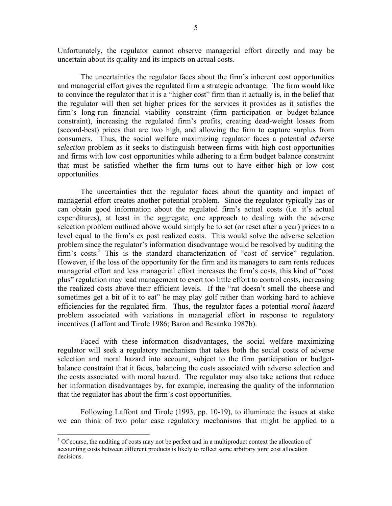Unfortunately, the regulator cannot observe managerial effort directly and may be uncertain about its quality and its impacts on actual costs.

 The uncertainties the regulator faces about the firm's inherent cost opportunities and managerial effort gives the regulated firm a strategic advantage. The firm would like to convince the regulator that it is a "higher cost" firm than it actually is, in the belief that the regulator will then set higher prices for the services it provides as it satisfies the firm's long-run financial viability constraint (firm participation or budget-balance constraint), increasing the regulated firm's profits, creating dead-weight losses from (second-best) prices that are two high, and allowing the firm to capture surplus from consumers. Thus, the social welfare maximizing regulator faces a potential *adverse selection* problem as it seeks to distinguish between firms with high cost opportunities and firms with low cost opportunities while adhering to a firm budget balance constraint that must be satisfied whether the firm turns out to have either high or low cost opportunities.

 The uncertainties that the regulator faces about the quantity and impact of managerial effort creates another potential problem. Since the regulator typically has or can obtain good information about the regulated firm's actual costs (i.e. it's actual expenditures), at least in the aggregate, one approach to dealing with the adverse selection problem outlined above would simply be to set (or reset after a year) prices to a level equal to the firm's ex post realized costs. This would solve the adverse selection problem since the regulator's information disadvantage would be resolved by auditing the firm's costs.<sup>5</sup> This is the standard characterization of "cost of service" regulation. However, if the loss of the opportunity for the firm and its managers to earn rents reduces managerial effort and less managerial effort increases the firm's costs, this kind of "cost plus" regulation may lead management to exert too little effort to control costs, increasing the realized costs above their efficient levels. If the "rat doesn't smell the cheese and sometimes get a bit of it to eat" he may play golf rather than working hard to achieve efficiencies for the regulated firm. Thus, the regulator faces a potential *moral hazard* problem associated with variations in managerial effort in response to regulatory incentives (Laffont and Tirole 1986; Baron and Besanko 1987b).

 Faced with these information disadvantages, the social welfare maximizing regulator will seek a regulatory mechanism that takes both the social costs of adverse selection and moral hazard into account, subject to the firm participation or budgetbalance constraint that it faces, balancing the costs associated with adverse selection and the costs associated with moral hazard. The regulator may also take actions that reduce her information disadvantages by, for example, increasing the quality of the information that the regulator has about the firm's cost opportunities.

Following Laffont and Tirole (1993, pp. 10-19), to illuminate the issues at stake we can think of two polar case regulatory mechanisms that might be applied to a

 $\overline{\phantom{a}}$ 

 $<sup>5</sup>$  Of course, the auditing of costs may not be perfect and in a multiproduct context the allocation of</sup> accounting costs between different products is likely to reflect some arbitrary joint cost allocation decisions.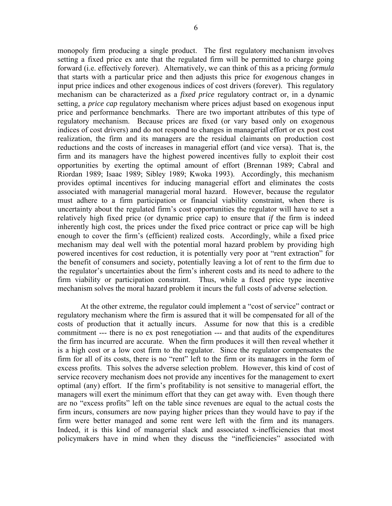monopoly firm producing a single product. The first regulatory mechanism involves setting a fixed price ex ante that the regulated firm will be permitted to charge going forward (i.e. effectively forever). Alternatively, we can think of this as a pricing *formula* that starts with a particular price and then adjusts this price for *exogenous* changes in input price indices and other exogenous indices of cost drivers (forever). This regulatory mechanism can be characterized as a *fixed price* regulatory contract or, in a dynamic setting, a *price cap* regulatory mechanism where prices adjust based on exogenous input price and performance benchmarks. There are two important attributes of this type of regulatory mechanism. Because prices are fixed (or vary based only on exogenous indices of cost drivers) and do not respond to changes in managerial effort or ex post cost realization, the firm and its managers are the residual claimants on production cost reductions and the costs of increases in managerial effort (and vice versa). That is, the firm and its managers have the highest powered incentives fully to exploit their cost opportunities by exerting the optimal amount of effort (Brennan 1989; Cabral and Riordan 1989; Isaac 1989; Sibley 1989; Kwoka 1993). Accordingly, this mechanism provides optimal incentives for inducing managerial effort and eliminates the costs associated with managerial managerial moral hazard. However, because the regulator must adhere to a firm participation or financial viability constraint, when there is uncertainty about the regulated firm's cost opportunities the regulator will have to set a relatively high fixed price (or dynamic price cap) to ensure that *if* the firm is indeed inherently high cost, the prices under the fixed price contract or price cap will be high enough to cover the firm's (efficient) realized costs. Accordingly, while a fixed price mechanism may deal well with the potential moral hazard problem by providing high powered incentives for cost reduction, it is potentially very poor at "rent extraction" for the benefit of consumers and society, potentially leaving a lot of rent to the firm due to the regulator's uncertainties about the firm's inherent costs and its need to adhere to the firm viability or participation constraint. Thus, while a fixed price type incentive mechanism solves the moral hazard problem it incurs the full costs of adverse selection.

 At the other extreme, the regulator could implement a "cost of service" contract or regulatory mechanism where the firm is assured that it will be compensated for all of the costs of production that it actually incurs. Assume for now that this is a credible commitment --- there is no ex post renegotiation --- and that audits of the expenditures the firm has incurred are accurate. When the firm produces it will then reveal whether it is a high cost or a low cost firm to the regulator. Since the regulator compensates the firm for all of its costs, there is no "rent" left to the firm or its managers in the form of excess profits. This solves the adverse selection problem. However, this kind of cost of service recovery mechanism does not provide any incentives for the management to exert optimal (any) effort. If the firm's profitability is not sensitive to managerial effort, the managers will exert the minimum effort that they can get away with. Even though there are no "excess profits" left on the table since revenues are equal to the actual costs the firm incurs, consumers are now paying higher prices than they would have to pay if the firm were better managed and some rent were left with the firm and its managers. Indeed, it is this kind of managerial slack and associated x-inefficiencies that most policymakers have in mind when they discuss the "inefficiencies" associated with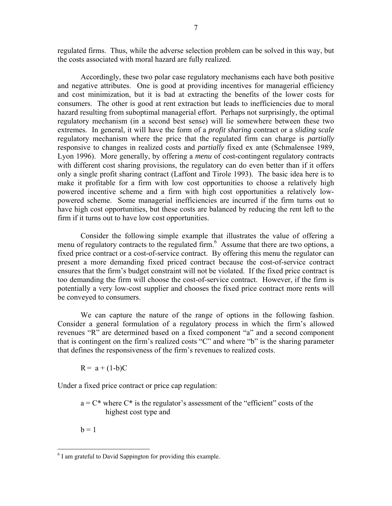regulated firms. Thus, while the adverse selection problem can be solved in this way, but the costs associated with moral hazard are fully realized.

 Accordingly, these two polar case regulatory mechanisms each have both positive and negative attributes. One is good at providing incentives for managerial efficiency and cost minimization, but it is bad at extracting the benefits of the lower costs for consumers. The other is good at rent extraction but leads to inefficiencies due to moral hazard resulting from suboptimal managerial effort. Perhaps not surprisingly, the optimal regulatory mechanism (in a second best sense) will lie somewhere between these two extremes. In general, it will have the form of a *profit sharing* contract or a *sliding scale* regulatory mechanism where the price that the regulated firm can charge is *partially* responsive to changes in realized costs and *partially* fixed ex ante (Schmalensee 1989, Lyon 1996). More generally, by offering a *menu* of cost-contingent regulatory contracts with different cost sharing provisions, the regulatory can do even better than if it offers only a single profit sharing contract (Laffont and Tirole 1993). The basic idea here is to make it profitable for a firm with low cost opportunities to choose a relatively high powered incentive scheme and a firm with high cost opportunities a relatively lowpowered scheme. Some managerial inefficiencies are incurred if the firm turns out to have high cost opportunities, but these costs are balanced by reducing the rent left to the firm if it turns out to have low cost opportunities.

 Consider the following simple example that illustrates the value of offering a menu of regulatory contracts to the regulated firm.<sup>6</sup> Assume that there are two options, a fixed price contract or a cost-of-service contract. By offering this menu the regulator can present a more demanding fixed priced contract because the cost-of-service contract ensures that the firm's budget constraint will not be violated. If the fixed price contract is too demanding the firm will choose the cost-of-service contract. However, if the firm is potentially a very low-cost supplier and chooses the fixed price contract more rents will be conveyed to consumers.

We can capture the nature of the range of options in the following fashion. Consider a general formulation of a regulatory process in which the firm's allowed revenues "R" are determined based on a fixed component "a" and a second component that is contingent on the firm's realized costs "C" and where "b" is the sharing parameter that defines the responsiveness of the firm's revenues to realized costs.

 $R = a + (1-b)C$ 

Under a fixed price contract or price cap regulation:

 $a = C^*$  where  $C^*$  is the regulator's assessment of the "efficient" costs of the highest cost type and

 $b = 1$ 

<u>.</u>

<sup>&</sup>lt;sup>6</sup> I am grateful to David Sappington for providing this example.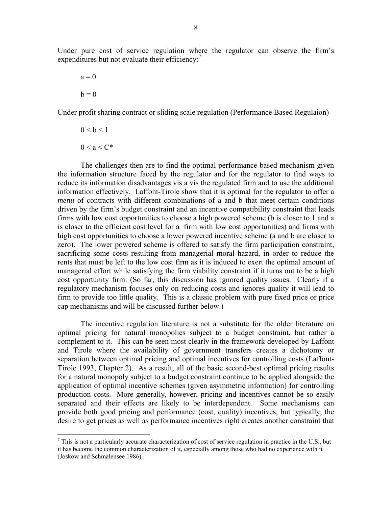Under pure cost of service regulation where the regulator can observe the firm's expenditures but not evaluate their efficiency:<sup>7</sup>

$$
a = 0
$$
  

$$
b = 0
$$

Under profit sharing contract or sliding scale regulation (Performance Based Regulaion)

 $0 < b < 1$  $0 < a < C^*$ 

1

The challenges then are to find the optimal performance based mechanism given the information structure faced by the regulator and for the regulator to find ways to reduce its information disadvantages vis a vis the regulated firm and to use the additional information effectively. Laffont-Tirole show that it is optimal for the regulator to offer a *menu* of contracts with different combinations of a and b that meet certain conditions driven by the firm's budget constraint and an incentive compatibility constraint that leads firms with low cost opportunities to choose a high powered scheme (b is closer to 1 and a is closer to the efficient cost level for a firm with low cost opportunities) and firms with high cost opportunities to choose a lower powered incentive scheme (a and b are closer to zero). The lower powered scheme is offered to satisfy the firm participation constraint, sacrificing some costs resulting from managerial moral hazard, in order to reduce the rents that must be left to the low cost firm as it is induced to exert the optimal amount of managerial effort while satisfying the firm viability constraint if it turns out to be a high cost opportunity firm. (So far, this discussion has ignored quality issues. Clearly if a regulatory mechanism focuses only on reducing costs and ignores quality it will lead to firm to provide too little quality. This is a classic problem with pure fixed price or price cap mechanisms and will be discussed further below.)

 The incentive regulation literature is not a substitute for the older literature on optimal pricing for natural monopolies subject to a budget constraint, but rather a complement to it. This can be seen most clearly in the framework developed by Laffont and Tirole where the availability of government transfers creates a dichotomy or separation between optimal pricing and optimal incentives for controlling costs (Laffont-Tirole 1993, Chapter 2). As a result, all of the basic second-best optimal pricing results for a natural monopoly subject to a budget constraint continue to be applied alongside the application of optimal incentive schemes (given asymmetric information) for controlling production costs. More generally, however, pricing and incentives cannot be so easily separated and their effects are likely to be interdependent. Some mechanisms can provide both good pricing and performance (cost, quality) incentives, but typically, the desire to get prices as well as performance incentives right creates another constraint that

 $^7$  This is not a particularly accurate characterization of cost of service regulation in practice in the U.S., but it has become the common characterization of it, especially among those who had no experience with it (Joskow and Schmalensee 1986).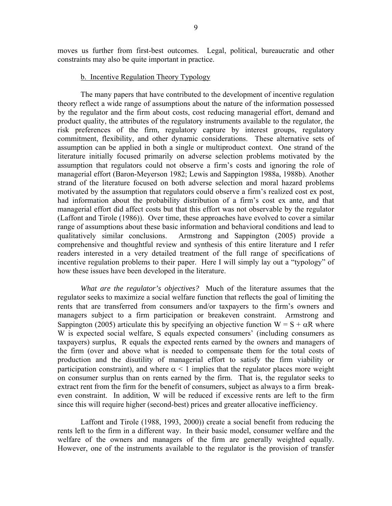moves us further from first-best outcomes. Legal, political, bureaucratic and other constraints may also be quite important in practice.

## b. Incentive Regulation Theory Typology

 The many papers that have contributed to the development of incentive regulation theory reflect a wide range of assumptions about the nature of the information possessed by the regulator and the firm about costs, cost reducing managerial effort, demand and product quality, the attributes of the regulatory instruments available to the regulator, the risk preferences of the firm, regulatory capture by interest groups, regulatory commitment, flexibility, and other dynamic considerations. These alternative sets of assumption can be applied in both a single or multiproduct context. One strand of the literature initially focused primarily on adverse selection problems motivated by the assumption that regulators could not observe a firm's costs and ignoring the role of managerial effort (Baron-Meyerson 1982; Lewis and Sappington 1988a, 1988b). Another strand of the literature focused on both adverse selection and moral hazard problems motivated by the assumption that regulators could observe a firm's realized cost ex post, had information about the probability distribution of a firm's cost ex ante, and that managerial effort did affect costs but that this effort was not observable by the regulator (Laffont and Tirole (1986)). Over time, these approaches have evolved to cover a similar range of assumptions about these basic information and behavioral conditions and lead to qualitatively similar conclusions. Armstrong and Sappington (2005) provide a comprehensive and thoughtful review and synthesis of this entire literature and I refer readers interested in a very detailed treatment of the full range of specifications of incentive regulation problems to their paper. Here I will simply lay out a "typology" of how these issues have been developed in the literature.

*What are the regulator's objectives?* Much of the literature assumes that the regulator seeks to maximize a social welfare function that reflects the goal of limiting the rents that are transferred from consumers and/or taxpayers to the firm's owners and managers subject to a firm participation or breakeven constraint. Armstrong and Sappington (2005) articulate this by specifying an objective function  $W = S + \alpha R$  where W is expected social welfare, S equals expected consumers' (including consumers as taxpayers) surplus, R equals the expected rents earned by the owners and managers of the firm (over and above what is needed to compensate them for the total costs of production and the disutility of managerial effort to satisfy the firm viability or participation constraint), and where  $\alpha$  < 1 implies that the regulator places more weight on consumer surplus than on rents earned by the firm. That is, the regulator seeks to extract rent from the firm for the benefit of consumers, subject as always to a firm breakeven constraint. In addition, W will be reduced if excessive rents are left to the firm since this will require higher (second-best) prices and greater allocative inefficiency.

Laffont and Tirole (1988, 1993, 2000)) create a social benefit from reducing the rents left to the firm in a different way. In their basic model, consumer welfare and the welfare of the owners and managers of the firm are generally weighted equally. However, one of the instruments available to the regulator is the provision of transfer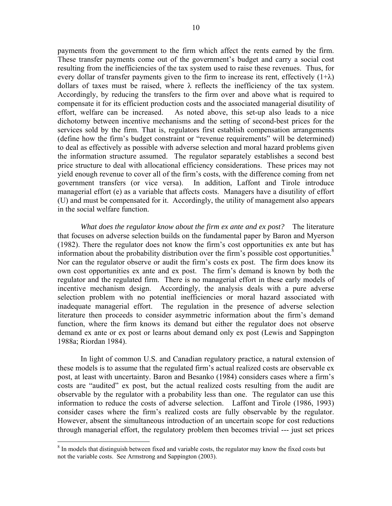payments from the government to the firm which affect the rents earned by the firm. These transfer payments come out of the government's budget and carry a social cost resulting from the inefficiencies of the tax system used to raise these revenues. Thus, for every dollar of transfer payments given to the firm to increase its rent, effectively  $(1+\lambda)$ dollars of taxes must be raised, where  $\lambda$  reflects the inefficiency of the tax system. Accordingly, by reducing the transfers to the firm over and above what is required to compensate it for its efficient production costs and the associated managerial disutility of effort, welfare can be increased. As noted above, this set-up also leads to a nice dichotomy between incentive mechanisms and the setting of second-best prices for the services sold by the firm. That is, regulators first establish compensation arrangements (define how the firm's budget constraint or "revenue requirements" will be determined) to deal as effectively as possible with adverse selection and moral hazard problems given the information structure assumed. The regulator separately establishes a second best price structure to deal with allocational efficiency considerations. These prices may not yield enough revenue to cover all of the firm's costs, with the difference coming from net government transfers (or vice versa). In addition, Laffont and Tirole introduce managerial effort (e) as a variable that affects costs. Managers have a disutility of effort (U) and must be compensated for it. Accordingly, the utility of management also appears in the social welfare function.

*What does the regulator know about the firm ex ante and ex post?* The literature that focuses on adverse selection builds on the fundamental paper by Baron and Myerson (1982). There the regulator does not know the firm's cost opportunities ex ante but has information about the probability distribution over the firm's possible cost opportunities.<sup>8</sup> Nor can the regulator observe or audit the firm's costs ex post. The firm does know its own cost opportunities ex ante and ex post. The firm's demand is known by both the regulator and the regulated firm. There is no managerial effort in these early models of incentive mechanism design. Accordingly, the analysis deals with a pure adverse selection problem with no potential inefficiencies or moral hazard associated with inadequate managerial effort. The regulation in the presence of adverse selection literature then proceeds to consider asymmetric information about the firm's demand function, where the firm knows its demand but either the regulator does not observe demand ex ante or ex post or learns about demand only ex post (Lewis and Sappington 1988a; Riordan 1984).

 In light of common U.S. and Canadian regulatory practice, a natural extension of these models is to assume that the regulated firm's actual realized costs are observable ex post, at least with uncertainty. Baron and Besanko (1984) considers cases where a firm's costs are "audited" ex post, but the actual realized costs resulting from the audit are observable by the regulator with a probability less than one. The regulator can use this information to reduce the costs of adverse selection. Laffont and Tirole (1986, 1993) consider cases where the firm's realized costs are fully observable by the regulator. However, absent the simultaneous introduction of an uncertain scope for cost reductions through managerial effort, the regulatory problem then becomes trivial --- just set prices

1

<sup>&</sup>lt;sup>8</sup> In models that distinguish between fixed and variable costs, the regulator may know the fixed costs but not the variable costs. See Armstrong and Sappington (2003).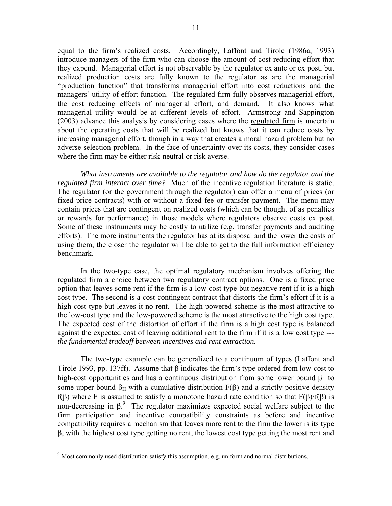equal to the firm's realized costs. Accordingly, Laffont and Tirole (1986a, 1993) introduce managers of the firm who can choose the amount of cost reducing effort that they expend. Managerial effort is not observable by the regulator ex ante or ex post, but realized production costs are fully known to the regulator as are the managerial "production function" that transforms managerial effort into cost reductions and the managers' utility of effort function. The regulated firm fully observes managerial effort, the cost reducing effects of managerial effort, and demand. It also knows what managerial utility would be at different levels of effort. Armstrong and Sappington (2003) advance this analysis by considering cases where the regulated firm is uncertain

about the operating costs that will be realized but knows that it can reduce costs by increasing managerial effort, though in a way that creates a moral hazard problem but no adverse selection problem. In the face of uncertainty over its costs, they consider cases where the firm may be either risk-neutral or risk averse.

*What instruments are available to the regulator and how do the regulator and the regulated firm interact over time?* Much of the incentive regulation literature is static. The regulator (or the government through the regulator) can offer a menu of prices (or fixed price contracts) with or without a fixed fee or transfer payment. The menu may contain prices that are contingent on realized costs (which can be thought of as penalties or rewards for performance) in those models where regulators observe costs ex post. Some of these instruments may be costly to utilize (e.g. transfer payments and auditing efforts). The more instruments the regulator has at its disposal and the lower the costs of using them, the closer the regulator will be able to get to the full information efficiency benchmark.

In the two-type case, the optimal regulatory mechanism involves offering the regulated firm a choice between two regulatory contract options. One is a fixed price option that leaves some rent if the firm is a low-cost type but negative rent if it is a high cost type. The second is a cost-contingent contract that distorts the firm's effort if it is a high cost type but leaves it no rent. The high powered scheme is the most attractive to the low-cost type and the low-powered scheme is the most attractive to the high cost type. The expected cost of the distortion of effort if the firm is a high cost type is balanced against the expected cost of leaving additional rent to the firm if it is a low cost type -- *the fundamental tradeoff between incentives and rent extraction.*

The two-type example can be generalized to a continuum of types (Laffont and Tirole 1993, pp. 137ff). Assume that  $\beta$  indicates the firm's type ordered from low-cost to high-cost opportunities and has a continuous distribution from some lower bound  $\beta_L$  to some upper bound  $\beta_H$  with a cumulative distribution  $F(\beta)$  and a strictly positive density f(β) where F is assumed to satisfy a monotone hazard rate condition so that  $F(\beta)/f(\beta)$  is non-decreasing in  $\beta$ . The regulator maximizes expected social welfare subject to the firm participation and incentive compatibility constraints as before and incentive compatibility requires a mechanism that leaves more rent to the firm the lower is its type β, with the highest cost type getting no rent, the lowest cost type getting the most rent and

 $\overline{a}$ 

 $9$  Most commonly used distribution satisfy this assumption, e.g. uniform and normal distributions.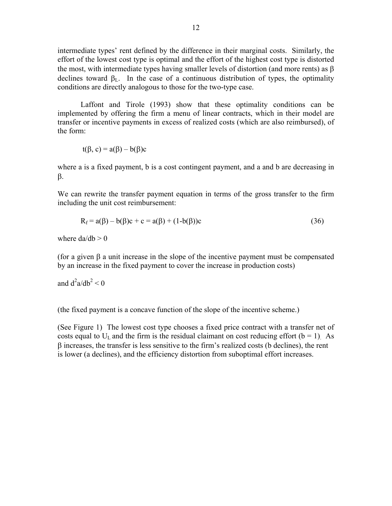intermediate types' rent defined by the difference in their marginal costs. Similarly, the effort of the lowest cost type is optimal and the effort of the highest cost type is distorted the most, with intermediate types having smaller levels of distortion (and more rents) as β declines toward  $\beta_L$ . In the case of a continuous distribution of types, the optimality conditions are directly analogous to those for the two-type case.

Laffont and Tirole (1993) show that these optimality conditions can be implemented by offering the firm a menu of linear contracts, which in their model are transfer or incentive payments in excess of realized costs (which are also reimbursed), of the form:

$$
t(\beta, c) = a(\beta) - b(\beta)c
$$

where a is a fixed payment, b is a cost contingent payment, and a and b are decreasing in β.

We can rewrite the transfer payment equation in terms of the gross transfer to the firm including the unit cost reimbursement:

$$
R_f = a(\beta) - b(\beta)c + c = a(\beta) + (1 - b(\beta))c
$$
\n(36)

where  $da/db > 0$ 

(for a given  $\beta$  a unit increase in the slope of the incentive payment must be compensated by an increase in the fixed payment to cover the increase in production costs)

and  $d^2a/db^2 < 0$ 

(the fixed payment is a concave function of the slope of the incentive scheme.)

(See Figure 1) The lowest cost type chooses a fixed price contract with a transfer net of costs equal to  $U_L$  and the firm is the residual claimant on cost reducing effort ( $b = 1$ ). As β increases, the transfer is less sensitive to the firm's realized costs (b declines), the rent is lower (a declines), and the efficiency distortion from suboptimal effort increases.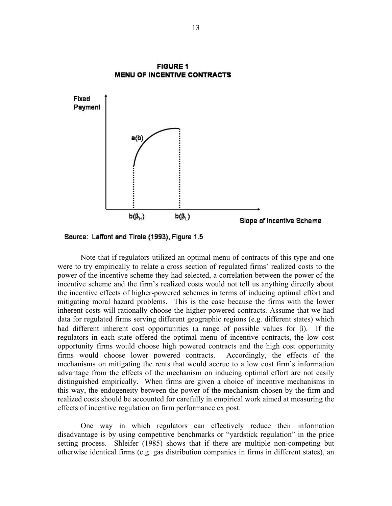

**FIGURE 1 MENU OF INCENTIVE CONTRACTS** 

Source: Laffont and Tirole (1993), Figure 1.5

Note that if regulators utilized an optimal menu of contracts of this type and one were to try empirically to relate a cross section of regulated firms' realized costs to the power of the incentive scheme they had selected, a correlation between the power of the incentive scheme and the firm's realized costs would not tell us anything directly about the incentive effects of higher-powered schemes in terms of inducing optimal effort and mitigating moral hazard problems. This is the case because the firms with the lower inherent costs will rationally choose the higher powered contracts. Assume that we had data for regulated firms serving different geographic regions (e.g. different states) which had different inherent cost opportunities (a range of possible values for β). If the regulators in each state offered the optimal menu of incentive contracts, the low cost opportunity firms would choose high powered contracts and the high cost opportunity firms would choose lower powered contracts. Accordingly, the effects of the mechanisms on mitigating the rents that would accrue to a low cost firm's information advantage from the effects of the mechanism on inducing optimal effort are not easily distinguished empirically. When firms are given a choice of incentive mechanisms in this way, the endogeneity between the power of the mechanism chosen by the firm and realized costs should be accounted for carefully in empirical work aimed at measuring the effects of incentive regulation on firm performance ex post.

One way in which regulators can effectively reduce their information disadvantage is by using competitive benchmarks or "yardstick regulation" in the price setting process. Shleifer (1985) shows that if there are multiple non-competing but otherwise identical firms (e.g. gas distribution companies in firms in different states), an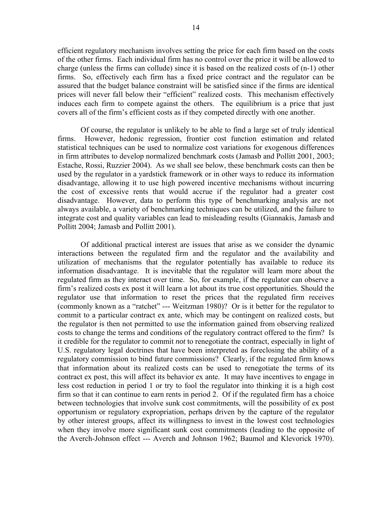efficient regulatory mechanism involves setting the price for each firm based on the costs of the other firms. Each individual firm has no control over the price it will be allowed to charge (unless the firms can collude) since it is based on the realized costs of (n-1) other firms. So, effectively each firm has a fixed price contract and the regulator can be assured that the budget balance constraint will be satisfied since if the firms are identical prices will never fall below their "efficient" realized costs. This mechanism effectively induces each firm to compete against the others. The equilibrium is a price that just covers all of the firm's efficient costs as if they competed directly with one another.

Of course, the regulator is unlikely to be able to find a large set of truly identical firms. However, hedonic regression, frontier cost function estimation and related statistical techniques can be used to normalize cost variations for exogenous differences in firm attributes to develop normalized benchmark costs (Jamasb and Pollitt 2001, 2003; Estache, Rossi, Ruzzier 2004). As we shall see below, these benchmark costs can then be used by the regulator in a yardstick framework or in other ways to reduce its information disadvantage, allowing it to use high powered incentive mechanisms without incurring the cost of excessive rents that would accrue if the regulator had a greater cost disadvantage. However, data to perform this type of benchmarking analysis are not always available, a variety of benchmarking techniques can be utilized, and the failure to integrate cost and quality variables can lead to misleading results (Giannakis, Jamasb and Pollitt 2004; Jamasb and Pollitt 2001).

 Of additional practical interest are issues that arise as we consider the dynamic interactions between the regulated firm and the regulator and the availability and utilization of mechanisms that the regulator potentially has available to reduce its information disadvantage. It is inevitable that the regulator will learn more about the regulated firm as they interact over time. So, for example, if the regulator can observe a firm's realized costs ex post it will learn a lot about its true cost opportunities. Should the regulator use that information to reset the prices that the regulated firm receives (commonly known as a "ratchet" --- Weitzman 1980)? Or is it better for the regulator to commit to a particular contract ex ante, which may be contingent on realized costs, but the regulator is then not permitted to use the information gained from observing realized costs to change the terms and conditions of the regulatory contract offered to the firm? Is it credible for the regulator to commit *not* to renegotiate the contract, especially in light of U.S. regulatory legal doctrines that have been interpreted as foreclosing the ability of a regulatory commission to bind future commissions? Clearly, if the regulated firm knows that information about its realized costs can be used to renegotiate the terms of its contract ex post, this will affect its behavior ex ante. It may have incentives to engage in less cost reduction in period 1 or try to fool the regulator into thinking it is a high cost firm so that it can continue to earn rents in period 2. Of if the regulated firm has a choice between technologies that involve sunk cost commitments, will the possibility of ex post opportunism or regulatory expropriation, perhaps driven by the capture of the regulator by other interest groups, affect its willingness to invest in the lowest cost technologies when they involve more significant sunk cost commitments (leading to the opposite of the Averch-Johnson effect --- Averch and Johnson 1962; Baumol and Klevorick 1970).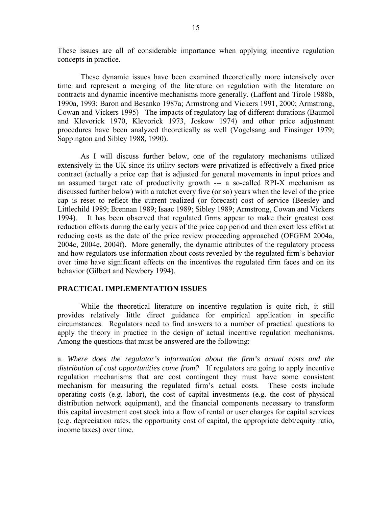These issues are all of considerable importance when applying incentive regulation concepts in practice.

These dynamic issues have been examined theoretically more intensively over time and represent a merging of the literature on regulation with the literature on contracts and dynamic incentive mechanisms more generally. (Laffont and Tirole 1988b, 1990a, 1993; Baron and Besanko 1987a; Armstrong and Vickers 1991, 2000; Armstrong, Cowan and Vickers 1995) The impacts of regulatory lag of different durations (Baumol and Klevorick 1970, Klevorick 1973, Joskow 1974) and other price adjustment procedures have been analyzed theoretically as well (Vogelsang and Finsinger 1979; Sappington and Sibley 1988, 1990).

As I will discuss further below, one of the regulatory mechanisms utilized extensively in the UK since its utility sectors were privatized is effectively a fixed price contract (actually a price cap that is adjusted for general movements in input prices and an assumed target rate of productivity growth --- a so-called RPI-X mechanism as discussed further below) with a ratchet every five (or so) years when the level of the price cap is reset to reflect the current realized (or forecast) cost of service (Beesley and Littlechild 1989; Brennan 1989; Isaac 1989; Sibley 1989; Armstrong, Cowan and Vickers 1994). It has been observed that regulated firms appear to make their greatest cost reduction efforts during the early years of the price cap period and then exert less effort at reducing costs as the date of the price review proceeding approached (OFGEM 2004a, 2004c, 2004e, 2004f). More generally, the dynamic attributes of the regulatory process and how regulators use information about costs revealed by the regulated firm's behavior over time have significant effects on the incentives the regulated firm faces and on its behavior (Gilbert and Newbery 1994).

## **PRACTICAL IMPLEMENTATION ISSUES**

 While the theoretical literature on incentive regulation is quite rich, it still provides relatively little direct guidance for empirical application in specific circumstances. Regulators need to find answers to a number of practical questions to apply the theory in practice in the design of actual incentive regulation mechanisms. Among the questions that must be answered are the following:

a. *Where does the regulator's information about the firm's actual costs and the distribution of cost opportunities come from?* If regulators are going to apply incentive regulation mechanisms that are cost contingent they must have some consistent mechanism for measuring the regulated firm's actual costs. These costs include operating costs (e.g. labor), the cost of capital investments (e.g. the cost of physical distribution network equipment), and the financial components necessary to transform this capital investment cost stock into a flow of rental or user charges for capital services (e.g. depreciation rates, the opportunity cost of capital, the appropriate debt/equity ratio, income taxes) over time.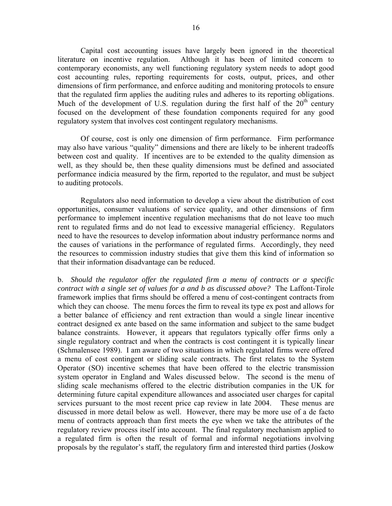Capital cost accounting issues have largely been ignored in the theoretical literature on incentive regulation. Although it has been of limited concern to contemporary economists, any well functioning regulatory system needs to adopt good cost accounting rules, reporting requirements for costs, output, prices, and other dimensions of firm performance, and enforce auditing and monitoring protocols to ensure that the regulated firm applies the auditing rules and adheres to its reporting obligations. Much of the development of U.S. regulation during the first half of the  $20<sup>th</sup>$  century focused on the development of these foundation components required for any good regulatory system that involves cost contingent regulatory mechanisms.

Of course, cost is only one dimension of firm performance. Firm performance may also have various "quality" dimensions and there are likely to be inherent tradeoffs between cost and quality. If incentives are to be extended to the quality dimension as well, as they should be, then these quality dimensions must be defined and associated performance indicia measured by the firm, reported to the regulator, and must be subject to auditing protocols.

 Regulators also need information to develop a view about the distribution of cost opportunities, consumer valuations of service quality, and other dimensions of firm performance to implement incentive regulation mechanisms that do not leave too much rent to regulated firms and do not lead to excessive managerial efficiency. Regulators need to have the resources to develop information about industry performance norms and the causes of variations in the performance of regulated firms. Accordingly, they need the resources to commission industry studies that give them this kind of information so that their information disadvantage can be reduced.

b. *Should the regulator offer the regulated firm a menu of contracts or a specific contract with a single set of values for a and b as discussed above?* The Laffont-Tirole framework implies that firms should be offered a menu of cost-contingent contracts from which they can choose. The menu forces the firm to reveal its type ex post and allows for a better balance of efficiency and rent extraction than would a single linear incentive contract designed ex ante based on the same information and subject to the same budget balance constraints. However, it appears that regulators typically offer firms only a single regulatory contract and when the contracts is cost contingent it is typically linear (Schmalensee 1989). I am aware of two situations in which regulated firms were offered a menu of cost contingent or sliding scale contracts. The first relates to the System Operator (SO) incentive schemes that have been offered to the electric transmission system operator in England and Wales discussed below. The second is the menu of sliding scale mechanisms offered to the electric distribution companies in the UK for determining future capital expenditure allowances and associated user charges for capital services pursuant to the most recent price cap review in late 2004. These menus are discussed in more detail below as well. However, there may be more use of a de facto menu of contracts approach than first meets the eye when we take the attributes of the regulatory review process itself into account. The final regulatory mechanism applied to a regulated firm is often the result of formal and informal negotiations involving proposals by the regulator's staff, the regulatory firm and interested third parties (Joskow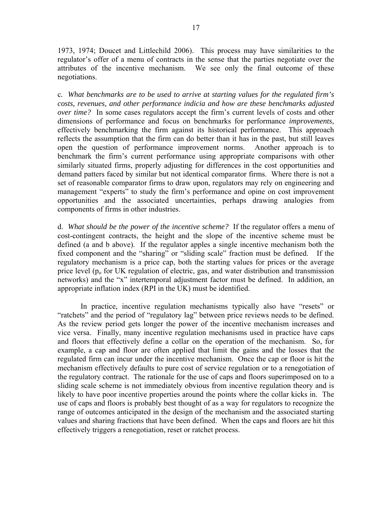1973, 1974; Doucet and Littlechild 2006). This process may have similarities to the regulator's offer of a menu of contracts in the sense that the parties negotiate over the attributes of the incentive mechanism. We see only the final outcome of these negotiations.

c*. What benchmarks are to be used to arrive at starting values for the regulated firm's costs, revenues, and other performance indicia and how are these benchmarks adjusted over time?* In some cases regulators accept the firm's current levels of costs and other dimensions of performance and focus on benchmarks for performance *improvements*, effectively benchmarking the firm against its historical performance. This approach reflects the assumption that the firm can do better than it has in the past, but still leaves open the question of performance improvement norms. Another approach is to benchmark the firm's current performance using appropriate comparisons with other similarly situated firms, properly adjusting for differences in the cost opportunities and demand patters faced by similar but not identical comparator firms. Where there is not a set of reasonable comparator firms to draw upon, regulators may rely on engineering and management "experts" to study the firm's performance and opine on cost improvement opportunities and the associated uncertainties, perhaps drawing analogies from components of firms in other industries.

d. *What should be the power of the incentive scheme?* If the regulator offers a menu of cost-contingent contracts, the height and the slope of the incentive scheme must be defined (a and b above). If the regulator apples a single incentive mechanism both the fixed component and the "sharing" or "sliding scale" fraction must be defined. If the regulatory mechanism is a price cap, both the starting values for prices or the average price level ( $p<sub>o</sub>$  for UK regulation of electric, gas, and water distribution and transmission networks) and the "x" intertemporal adjustment factor must be defined. In addition, an appropriate inflation index (RPI in the UK) must be identified.

In practice, incentive regulation mechanisms typically also have "resets" or "ratchets" and the period of "regulatory lag" between price reviews needs to be defined. As the review period gets longer the power of the incentive mechanism increases and vice versa. Finally, many incentive regulation mechanisms used in practice have caps and floors that effectively define a collar on the operation of the mechanism. So, for example, a cap and floor are often applied that limit the gains and the losses that the regulated firm can incur under the incentive mechanism. Once the cap or floor is hit the mechanism effectively defaults to pure cost of service regulation or to a renegotiation of the regulatory contract. The rationale for the use of caps and floors superimposed on to a sliding scale scheme is not immediately obvious from incentive regulation theory and is likely to have poor incentive properties around the points where the collar kicks in. The use of caps and floors is probably best thought of as a way for regulators to recognize the range of outcomes anticipated in the design of the mechanism and the associated starting values and sharing fractions that have been defined. When the caps and floors are hit this effectively triggers a renegotiation, reset or ratchet process.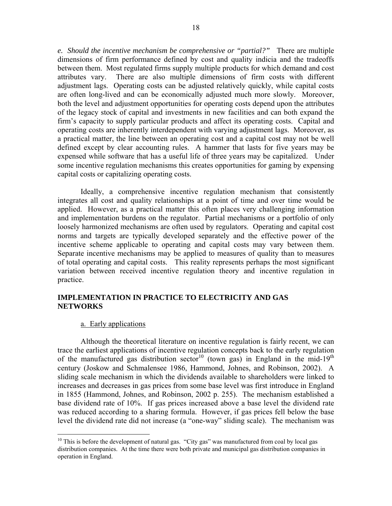*e. Should the incentive mechanism be comprehensive or "partial?"* There are multiple dimensions of firm performance defined by cost and quality indicia and the tradeoffs between them. Most regulated firms supply multiple products for which demand and cost attributes vary. There are also multiple dimensions of firm costs with different adjustment lags. Operating costs can be adjusted relatively quickly, while capital costs are often long-lived and can be economically adjusted much more slowly. Moreover, both the level and adjustment opportunities for operating costs depend upon the attributes of the legacy stock of capital and investments in new facilities and can both expand the firm's capacity to supply particular products and affect its operating costs. Capital and operating costs are inherently interdependent with varying adjustment lags. Moreover, as a practical matter, the line between an operating cost and a capital cost may not be well defined except by clear accounting rules. A hammer that lasts for five years may be expensed while software that has a useful life of three years may be capitalized. Under some incentive regulation mechanisms this creates opportunities for gaming by expensing capital costs or capitalizing operating costs.

Ideally, a comprehensive incentive regulation mechanism that consistently integrates all cost and quality relationships at a point of time and over time would be applied. However, as a practical matter this often places very challenging information and implementation burdens on the regulator. Partial mechanisms or a portfolio of only loosely harmonized mechanisms are often used by regulators. Operating and capital cost norms and targets are typically developed separately and the effective power of the incentive scheme applicable to operating and capital costs may vary between them. Separate incentive mechanisms may be applied to measures of quality than to measures of total operating and capital costs. This reality represents perhaps the most significant variation between received incentive regulation theory and incentive regulation in practice.

# **IMPLEMENTATION IN PRACTICE TO ELECTRICITY AND GAS NETWORKS**

## a. Early applications

 $\overline{\phantom{a}}$ 

 Although the theoretical literature on incentive regulation is fairly recent, we can trace the earliest applications of incentive regulation concepts back to the early regulation of the manufactured gas distribution sector<sup>10</sup> (town gas) in England in the mid-19<sup>th</sup> century (Joskow and Schmalensee 1986, Hammond, Johnes, and Robinson, 2002). A sliding scale mechanism in which the dividends available to shareholders were linked to increases and decreases in gas prices from some base level was first introduce in England in 1855 (Hammond, Johnes, and Robinson, 2002 p. 255). The mechanism established a base dividend rate of 10%. If gas prices increased above a base level the dividend rate was reduced according to a sharing formula. However, if gas prices fell below the base level the dividend rate did not increase (a "one-way" sliding scale). The mechanism was

<sup>&</sup>lt;sup>10</sup> This is before the development of natural gas. "City gas" was manufactured from coal by local gas distribution companies. At the time there were both private and municipal gas distribution companies in operation in England.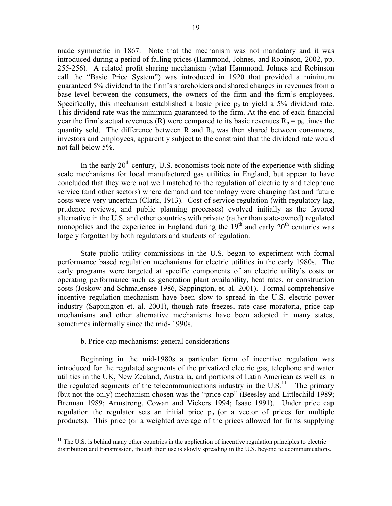made symmetric in 1867. Note that the mechanism was not mandatory and it was introduced during a period of falling prices (Hammond, Johnes, and Robinson, 2002, pp. 255-256). A related profit sharing mechanism (what Hammond, Johnes and Robinson call the "Basic Price System") was introduced in 1920 that provided a minimum guaranteed 5% dividend to the firm's shareholders and shared changes in revenues from a base level between the consumers, the owners of the firm and the firm's employees. Specifically, this mechanism established a basic price  $p_b$  to yield a 5% dividend rate. This dividend rate was the minimum guaranteed to the firm. At the end of each financial year the firm's actual revenues (R) were compared to its basic revenues  $R_b = p_b$  times the quantity sold. The difference between R and  $R<sub>b</sub>$  was then shared between consumers, investors and employees, apparently subject to the constraint that the dividend rate would not fall below 5%.

In the early  $20<sup>th</sup>$  century, U.S. economists took note of the experience with sliding scale mechanisms for local manufactured gas utilities in England, but appear to have concluded that they were not well matched to the regulation of electricity and telephone service (and other sectors) where demand and technology were changing fast and future costs were very uncertain (Clark, 1913). Cost of service regulation (with regulatory lag, prudence reviews, and public planning processes) evolved initially as the favored alternative in the U.S. and other countries with private (rather than state-owned) regulated monopolies and the experience in England during the  $19<sup>th</sup>$  and early  $20<sup>th</sup>$  centuries was largely forgotten by both regulators and students of regulation.

 State public utility commissions in the U.S. began to experiment with formal performance based regulation mechanisms for electric utilities in the early 1980s. The early programs were targeted at specific components of an electric utility's costs or operating performance such as generation plant availability, heat rates, or construction costs (Joskow and Schmalensee 1986, Sappington, et. al. 2001). Formal comprehensive incentive regulation mechanism have been slow to spread in the U.S. electric power industry (Sappington et. al. 2001), though rate freezes, rate case moratoria, price cap mechanisms and other alternative mechanisms have been adopted in many states, sometimes informally since the mid- 1990s.

# b. Price cap mechanisms: general considerations

1

 Beginning in the mid-1980s a particular form of incentive regulation was introduced for the regulated segments of the privatized electric gas, telephone and water utilities in the UK, New Zealand, Australia, and portions of Latin American as well as in the regulated segments of the telecommunications industry in the  $U.S.<sup>11</sup>$  The primary (but not the only) mechanism chosen was the "price cap" (Beesley and Littlechild 1989; Brennan 1989; Armstrong, Cowan and Vickers 1994; Isaac 1991). Under price cap regulation the regulator sets an initial price  $p_0$  (or a vector of prices for multiple products). This price (or a weighted average of the prices allowed for firms supplying

 $11$  The U.S. is behind many other countries in the application of incentive regulation principles to electric distribution and transmission, though their use is slowly spreading in the U.S. beyond telecommunications.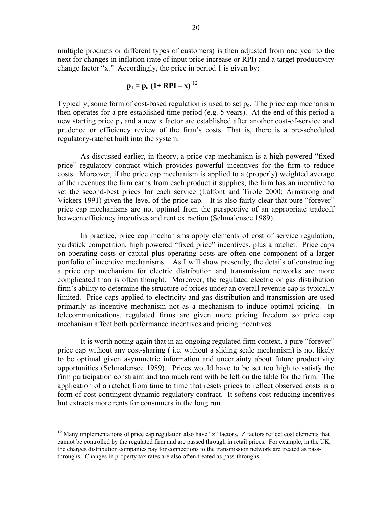multiple products or different types of customers) is then adjusted from one year to the next for changes in inflation (rate of input price increase or RPI) and a target productivity change factor "x." Accordingly, the price in period 1 is given by:

$$
\mathbf{p}_1 = \mathbf{p}_0 \left( 1 + \mathbf{RPI} - \mathbf{x} \right)^{12}
$$

Typically, some form of cost-based regulation is used to set  $p_0$ . The price cap mechanism then operates for a pre-established time period (e.g. 5 years). At the end of this period a new starting price  $p_0$  and a new x factor are established after another cost-of-service and prudence or efficiency review of the firm's costs. That is, there is a pre-scheduled regulatory-ratchet built into the system.

As discussed earlier, in theory, a price cap mechanism is a high-powered "fixed price" regulatory contract which provides powerful incentives for the firm to reduce costs. Moreover, if the price cap mechanism is applied to a (properly) weighted average of the revenues the firm earns from each product it supplies, the firm has an incentive to set the second-best prices for each service (Laffont and Tirole 2000; Armstrong and Vickers 1991) given the level of the price cap. It is also fairly clear that pure "forever" price cap mechanisms are not optimal from the perspective of an appropriate tradeoff between efficiency incentives and rent extraction (Schmalensee 1989).

 In practice, price cap mechanisms apply elements of cost of service regulation, yardstick competition, high powered "fixed price" incentives, plus a ratchet. Price caps on operating costs or capital plus operating costs are often one component of a larger portfolio of incentive mechanisms. As I will show presently, the details of constructing a price cap mechanism for electric distribution and transmission networks are more complicated than is often thought. Moreover, the regulated electric or gas distribution firm's ability to determine the structure of prices under an overall revenue cap is typically limited. Price caps applied to electricity and gas distribution and transmission are used primarily as incentive mechanism not as a mechanism to induce optimal pricing. In telecommunications, regulated firms are given more pricing freedom so price cap mechanism affect both performance incentives and pricing incentives.

It is worth noting again that in an ongoing regulated firm context, a pure "forever" price cap without any cost-sharing ( i.e. without a sliding scale mechanism) is not likely to be optimal given asymmetric information and uncertainty about future productivity opportunities (Schmalensee 1989). Prices would have to be set too high to satisfy the firm participation constraint and too much rent with be left on the table for the firm. The application of a ratchet from time to time that resets prices to reflect observed costs is a form of cost-contingent dynamic regulatory contract. It softens cost-reducing incentives but extracts more rents for consumers in the long run.

<u>.</u>

 $12$  Many implementations of price cap regulation also have "z" factors. Z factors reflect cost elements that cannot be controlled by the regulated firm and are passed through in retail prices. For example, in the UK, the charges distribution companies pay for connections to the transmission network are treated as passthroughs. Changes in property tax rates are also often treated as pass-throughs.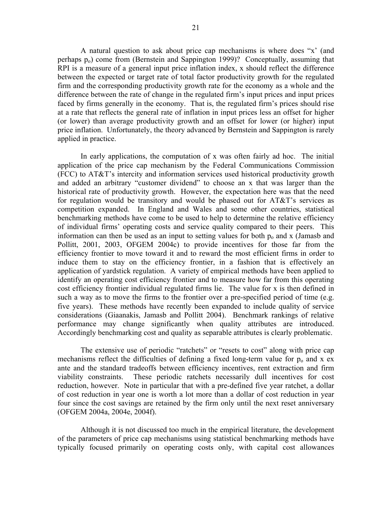A natural question to ask about price cap mechanisms is where does "x' (and perhaps  $p<sub>o</sub>$ ) come from (Bernstein and Sappington 1999)? Conceptually, assuming that RPI is a measure of a general input price inflation index, x should reflect the difference between the expected or target rate of total factor productivity growth for the regulated firm and the corresponding productivity growth rate for the economy as a whole and the difference between the rate of change in the regulated firm's input prices and input prices faced by firms generally in the economy. That is, the regulated firm's prices should rise at a rate that reflects the general rate of inflation in input prices less an offset for higher (or lower) than average productivity growth and an offset for lower (or higher) input price inflation. Unfortunately, the theory advanced by Bernstein and Sappington is rarely applied in practice.

In early applications, the computation of x was often fairly ad hoc. The initial application of the price cap mechanism by the Federal Communications Commission (FCC) to AT&T's intercity and information services used historical productivity growth and added an arbitrary "customer dividend" to choose an x that was larger than the historical rate of productivity growth. However, the expectation here was that the need for regulation would be transitory and would be phased out for AT&T's services as competition expanded. In England and Wales and some other countries, statistical benchmarking methods have come to be used to help to determine the relative efficiency of individual firms' operating costs and service quality compared to their peers. This information can then be used as an input to setting values for both  $p_0$  and x (Jamasb and Pollitt, 2001, 2003, OFGEM 2004c) to provide incentives for those far from the efficiency frontier to move toward it and to reward the most efficient firms in order to induce them to stay on the efficiency frontier, in a fashion that is effectively an application of yardstick regulation. A variety of empirical methods have been applied to identify an operating cost efficiency frontier and to measure how far from this operating cost efficiency frontier individual regulated firms lie. The value for x is then defined in such a way as to move the firms to the frontier over a pre-specified period of time (e.g. five years). These methods have recently been expanded to include quality of service considerations (Giaanakis, Jamasb and Pollitt 2004). Benchmark rankings of relative performance may change significantly when quality attributes are introduced. Accordingly benchmarking cost and quality as separable attributes is clearly problematic.

 The extensive use of periodic "ratchets" or "resets to cost" along with price cap mechanisms reflect the difficulties of defining a fixed long-term value for  $p_0$  and x ex ante and the standard tradeoffs between efficiency incentives, rent extraction and firm viability constraints. These periodic ratchets necessarily dull incentives for cost reduction, however. Note in particular that with a pre-defined five year ratchet, a dollar of cost reduction in year one is worth a lot more than a dollar of cost reduction in year four since the cost savings are retained by the firm only until the next reset anniversary (OFGEM 2004a, 2004e, 2004f).

 Although it is not discussed too much in the empirical literature, the development of the parameters of price cap mechanisms using statistical benchmarking methods have typically focused primarily on operating costs only, with capital cost allowances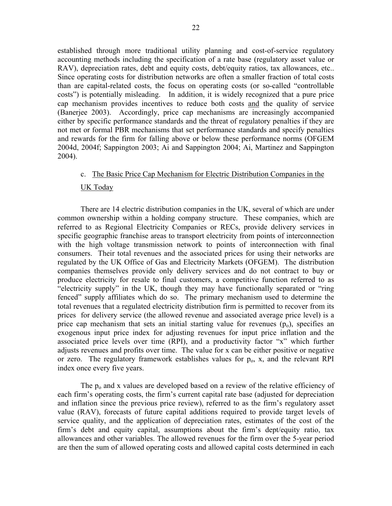established through more traditional utility planning and cost-of-service regulatory accounting methods including the specification of a rate base (regulatory asset value or RAV), depreciation rates, debt and equity costs, debt/equity ratios, tax allowances, etc.. Since operating costs for distribution networks are often a smaller fraction of total costs than are capital-related costs, the focus on operating costs (or so-called "controllable costs") is potentially misleading. In addition, it is widely recognized that a pure price cap mechanism provides incentives to reduce both costs and the quality of service (Banerjee 2003). Accordingly, price cap mechanisms are increasingly accompanied either by specific performance standards and the threat of regulatory penalties if they are not met or formal PBR mechanisms that set performance standards and specify penalties and rewards for the firm for falling above or below these performance norms (OFGEM 2004d, 2004f; Sappington 2003; Ai and Sappington 2004; Ai, Martinez and Sappington 2004).

## c. The Basic Price Cap Mechanism for Electric Distribution Companies in the

## UK Today

 There are 14 electric distribution companies in the UK, several of which are under common ownership within a holding company structure. These companies, which are referred to as Regional Electricity Companies or RECs, provide delivery services in specific geographic franchise areas to transport electricity from points of interconnection with the high voltage transmission network to points of interconnection with final consumers. Their total revenues and the associated prices for using their networks are regulated by the UK Office of Gas and Electricity Markets (OFGEM). The distribution companies themselves provide only delivery services and do not contract to buy or produce electricity for resale to final customers, a competitive function referred to as "electricity supply" in the UK, though they may have functionally separated or "ring fenced" supply affiliates which do so. The primary mechanism used to determine the total revenues that a regulated electricity distribution firm is permitted to recover from its prices for delivery service (the allowed revenue and associated average price level) is a price cap mechanism that sets an initial starting value for revenues  $(p_0)$ , specifies an exogenous input price index for adjusting revenues for input price inflation and the associated price levels over time (RPI), and a productivity factor "x" which further adjusts revenues and profits over time. The value for x can be either positive or negative or zero. The regulatory framework establishes values for  $p_0$ , x, and the relevant RPI index once every five years.

The  $p_0$  and x values are developed based on a review of the relative efficiency of each firm's operating costs, the firm's current capital rate base (adjusted for depreciation and inflation since the previous price review), referred to as the firm's regulatory asset value (RAV), forecasts of future capital additions required to provide target levels of service quality, and the application of depreciation rates, estimates of the cost of the firm's debt and equity capital, assumptions about the firm's dept/equity ratio, tax allowances and other variables. The allowed revenues for the firm over the 5-year period are then the sum of allowed operating costs and allowed capital costs determined in each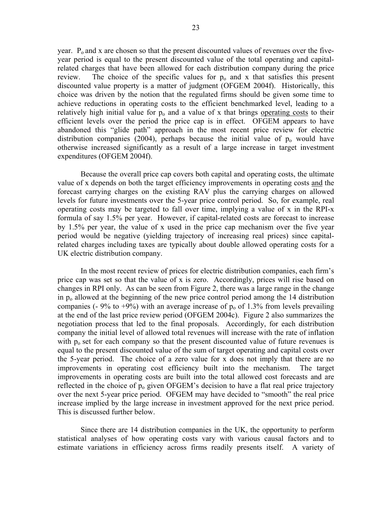year.  $P_0$  and x are chosen so that the present discounted values of revenues over the fiveyear period is equal to the present discounted value of the total operating and capitalrelated charges that have been allowed for each distribution company during the price review. The choice of the specific values for  $p_0$  and x that satisfies this present discounted value property is a matter of judgment (OFGEM 2004f). Historically, this choice was driven by the notion that the regulated firms should be given some time to achieve reductions in operating costs to the efficient benchmarked level, leading to a relatively high initial value for  $p_0$  and a value of x that brings operating costs to their efficient levels over the period the price cap is in effect. OFGEM appears to have abandoned this "glide path" approach in the most recent price review for electric distribution companies (2004), perhaps because the initial value of  $p_0$  would have otherwise increased significantly as a result of a large increase in target investment expenditures (OFGEM 2004f).

Because the overall price cap covers both capital and operating costs, the ultimate value of x depends on both the target efficiency improvements in operating costs and the forecast carrying charges on the existing RAV plus the carrying charges on allowed levels for future investments over the 5-year price control period. So, for example, real operating costs may be targeted to fall over time, implying a value of x in the RPI-x formula of say 1.5% per year. However, if capital-related costs are forecast to increase by 1.5% per year, the value of x used in the price cap mechanism over the five year period would be negative (yielding trajectory of increasing real prices) since capitalrelated charges including taxes are typically about double allowed operating costs for a UK electric distribution company.

In the most recent review of prices for electric distribution companies, each firm's price cap was set so that the value of x is zero. Accordingly, prices will rise based on changes in RPI only. As can be seen from Figure 2, there was a large range in the change in  $p<sub>o</sub>$  allowed at the beginning of the new price control period among the 14 distribution companies (- 9% to +9%) with an average increase of  $p_0$  of 1.3% from levels prevailing at the end of the last price review period (OFGEM 2004c). Figure 2 also summarizes the negotiation process that led to the final proposals. Accordingly, for each distribution company the initial level of allowed total revenues will increase with the rate of inflation with  $p_0$  set for each company so that the present discounted value of future revenues is equal to the present discounted value of the sum of target operating and capital costs over the 5-year period. The choice of a zero value for x does not imply that there are no improvements in operating cost efficiency built into the mechanism. The target improvements in operating costs are built into the total allowed cost forecasts and are reflected in the choice of  $p_0$  given OFGEM's decision to have a flat real price trajectory over the next 5-year price period. OFGEM may have decided to "smooth" the real price increase implied by the large increase in investment approved for the next price period. This is discussed further below.

Since there are 14 distribution companies in the UK, the opportunity to perform statistical analyses of how operating costs vary with various causal factors and to estimate variations in efficiency across firms readily presents itself. A variety of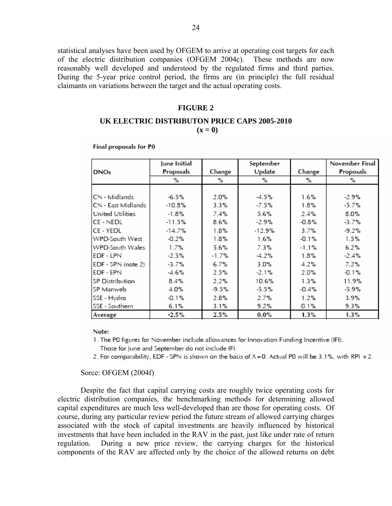statistical analyses have been used by OFGEM to arrive at operating cost targets for each of the electric distribution companies (OFGEM 2004c). These methods are now reasonably well developed and understood by the regulated firms and third parties. During the 5-year price control period, the firms are (in principle) the full residual claimants on variations between the target and the actual operating costs.

## **FIGURE 2**

## **UK ELECTRIC DISTRIBUTON PRICE CAPS 2005-2010**   $(x = 0)$

| <b>DNOs</b>            | June Initial<br>Proposals | Change  | September<br>Update | Change  | November Final<br>Proposals |
|------------------------|---------------------------|---------|---------------------|---------|-----------------------------|
|                        | %                         | %       | %                   | %       | %                           |
| CN - Midlands          | $-6.5%$                   | 2.0%    | $-4.5%$             | 1.6%    | $-2.9%$                     |
| CN - East Midlands     | $-10.8%$                  | 3.3%    | $-7.5%$             | 1.8%    | $-5.7%$                     |
| United Utilities       | $-1.8%$                   | 7.4%    | 5.6%                | 2.4%    | 8.0%                        |
| CE - NEDL              | $-11.5%$                  | 8.6%    | $-2.9%$             | $-0.8%$ | $-3.7%$                     |
| CE - YEDL              | $-14.7%$                  | 1.8%    | $-12.9%$            | 3.7%    | $-9.2%$                     |
| WPD-South West         | $-0.2%$                   | 1.8%    | 1.6%                | $-0.1%$ | 1.5%                        |
| WPD-South Wales        | 1.7%                      | 5.6%    | 7.3%                | $-1.1%$ | $6.2\%$                     |
| EDF - LPN              | $-2.5%$                   | $-1.7%$ | $-4.2%$             | 1.8%    | $-2.4%$                     |
| EDF - SPN (note 2)     | -3.7%                     | 6.7%    | 3.0%                | 4.2%    | 7.2%                        |
| EDF - EPN              | -4.6%                     | 2.5%    | $-2.1%$             | 2.0%    | $-0.1%$                     |
| <b>SP Distribution</b> | 8.4%                      | 2.2%    | 10.6%               | 1.3%    | 11.9%                       |
| SP Manweb              | 4.0%                      | -9.5%   | $-5.5%$             | $-0.4%$ | -5.9%                       |
| SSE - Hydro            | $-0.1\%$                  | 2.8%    | 2.7%                | 1.2%    | 3.9%                        |
| SSE - Southern         | 6.1%                      | 3.1%    | 9.2%                | 0.1%    | 9.3%                        |
| Average                | $-2.5%$                   | 2.5%    | $0.0\%$             | 1.3%    | 1.3%                        |

#### Note:

1. The P0 figures for November include allowances for Innovation Funding Incentive (IFI).

- Those for June and September do not include IFI.
- 2. For comparability, EDF SPN is shown on the basis of  $X = 0$ . Actual P0 will be 3.1%, with RPI +2.

#### Sorce: OFGEM (2004f)

Despite the fact that capital carrying costs are roughly twice operating costs for electric distribution companies, the benchmarking methods for determining allowed capital expenditures are much less well-developed than are those for operating costs. Of course, during any particular review period the future stream of allowed carrying charges associated with the stock of capital investments are heavily influenced by historical investments that have been included in the RAV in the past, just like under rate of return regulation. During a new price review, the carrying charges for the historical components of the RAV are affected only by the choice of the allowed returns on debt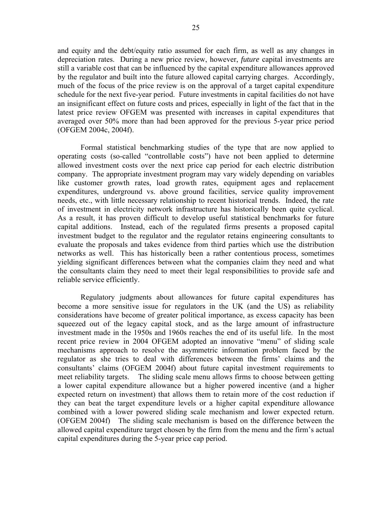and equity and the debt/equity ratio assumed for each firm, as well as any changes in depreciation rates. During a new price review, however, *future* capital investments are still a variable cost that can be influenced by the capital expenditure allowances approved by the regulator and built into the future allowed capital carrying charges. Accordingly, much of the focus of the price review is on the approval of a target capital expenditure schedule for the next five-year period. Future investments in capital facilities do not have an insignificant effect on future costs and prices, especially in light of the fact that in the latest price review OFGEM was presented with increases in capital expenditures that averaged over 50% more than had been approved for the previous 5-year price period (OFGEM 2004c, 2004f).

Formal statistical benchmarking studies of the type that are now applied to operating costs (so-called "controllable costs") have not been applied to determine allowed investment costs over the next price cap period for each electric distribution company. The appropriate investment program may vary widely depending on variables like customer growth rates, load growth rates, equipment ages and replacement expenditures, underground vs. above ground facilities, service quality improvement needs, etc., with little necessary relationship to recent historical trends. Indeed, the rate of investment in electricity network infrastructure has historically been quite cyclical. As a result, it has proven difficult to develop useful statistical benchmarks for future capital additions. Instead, each of the regulated firms presents a proposed capital investment budget to the regulator and the regulator retains engineering consultants to evaluate the proposals and takes evidence from third parties which use the distribution networks as well. This has historically been a rather contentious process, sometimes yielding significant differences between what the companies claim they need and what the consultants claim they need to meet their legal responsibilities to provide safe and reliable service efficiently.

Regulatory judgments about allowances for future capital expenditures has become a more sensitive issue for regulators in the UK (and the US) as reliability considerations have become of greater political importance, as excess capacity has been squeezed out of the legacy capital stock, and as the large amount of infrastructure investment made in the 1950s and 1960s reaches the end of its useful life. In the most recent price review in 2004 OFGEM adopted an innovative "menu" of sliding scale mechanisms approach to resolve the asymmetric information problem faced by the regulator as she tries to deal with differences between the firms' claims and the consultants' claims (OFGEM 2004f) about future capital investment requirements to meet reliability targets. The sliding scale menu allows firms to choose between getting a lower capital expenditure allowance but a higher powered incentive (and a higher expected return on investment) that allows them to retain more of the cost reduction if they can beat the target expenditure levels or a higher capital expenditure allowance combined with a lower powered sliding scale mechanism and lower expected return. (OFGEM 2004f) The sliding scale mechanism is based on the difference between the allowed capital expenditure target chosen by the firm from the menu and the firm's actual capital expenditures during the 5-year price cap period.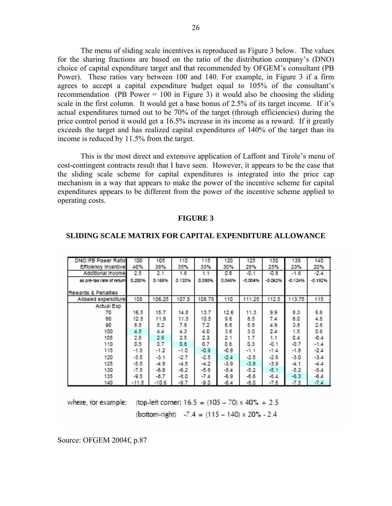The menu of sliding scale incentives is reproduced as Figure 3 below. The values for the sharing fractions are based on the ratio of the distribution company's (DNO) choice of capital expenditure target and that recommended by OFGEM's consultant (PB Power). These ratios vary between 100 and 140. For example, in Figure 3 if a firm agrees to accept a capital expenditure budget equal to 105% of the consultant's recommendation (PB Power  $= 100$  in Figure 3) it would also be choosing the sliding scale in the first column. It would get a base bonus of 2.5% of its target income. If it's actual expenditures turned out to be 70% of the target (through efficiencies) during the price control period it would get a 16.5% increase in its income as a reward. If it greatly exceeds the target and has realized capital expenditures of 140% of the target than its income is reduced by 11.5% from the target.

This is the most direct and extensive application of Laffont and Tirole's menu of cost-contingent contracts result that I have seen. However, it appears to be the case that the sliding scale scheme for capital expenditures is integrated into the price cap mechanism in a way that appears to make the power of the incentive scheme for capital expenditures appears to be different from the power of the incentive scheme applied to operating costs.

## **FIGURE 3**

| DNO:PB Power Ratio        | 100     | 105     | 110    | 115    | 120    | 125       | 130       | 135       | 140       |
|---------------------------|---------|---------|--------|--------|--------|-----------|-----------|-----------|-----------|
| Efficiency Incentive      | 40%     | 38%     | 35%    | 33%    | 30%    | 28%       | 25%       | 23%       | 20%       |
| Additional Income         | 2.5     | 2.1     | 1.6    | 1.1    | 0.6    | $-0.1$    | $-0.8$    | $-1.6$    | $-2.4$    |
| as pre-tax rate of return | 0.200%  | 0.168%  | 0.130% | 0.090% | 0.046% | $-0.004%$ | $-0.062%$ | $-0.124%$ | $-0.192%$ |
|                           |         |         |        |        |        |           |           |           |           |
| Rewards & Penalties       |         |         |        |        |        |           |           |           |           |
| Allowed expenditure       | 105     | 106.25  | 107.5  | 108.75 | 110    | 111.25    | 112.5     | 113.75    | 115       |
| Actual Exp                |         |         |        |        |        |           |           |           |           |
| 70                        | 16.5    | 15.7    | 14.8   | 13.7   | 12.6   | 11.3      | 9.9       | 8.3       | 6.6       |
| 80                        | 12.5    | 11.9    | 11.3   | 10.5   | 9.6    | 8.5       | 7.4       | 6.0       | 4.6       |
| 90                        | 8.5     | 8.2     | 7.8    | 7.2    | 6.6    | 5.8       | 4.9       | 3.8       | 2.6       |
| 100                       | 4.5     | 4.4     | 4.3    | 4.0    | 3.6    | 3.0       | 2.4       | 1.5       | 0.6       |
| 105                       | 2.5     | 2.6     | 2.5    | 2.3    | 2.1    | 1.7       | 1.1       | 0.4       | $-0.4$    |
| 110                       | 0.5     | 0.7     | 0.8    | 0.7    | 0.6    | 0.3       | $-0.1$    | $-0.7$    | $-1.4$    |
| 115                       | $-1.5$  | $-1.2$  | $-1.0$ | $-0.9$ | -0.9   | $-1.1$    | $-1.4$    | $-1.8$    | $-2.4$    |
| 120                       | -3.5    | $-3.1$  | $-2.7$ | $-2.5$ | $-2.4$ | $-2.5$    | $-2.6$    | -3.0      | $-3.4$    |
| 125                       | $-5.5$  | $-4.9$  | $-4.5$ | $-4.2$ | $-3.9$ | $-3.8$    | $-3.9$    | $-4.1$    | $-4.4$    |
| 130                       | $-7.5$  | $-6.8$  | $-6.2$ | $-5.8$ | $-5.4$ | $-5.2$    | $-5.1$    | $-5.2$    | $-5.4$    |
| 135                       | $-9.5$  | $-8.7$  | -8.0   | $-7.4$ | $-6.9$ | $-6.6$    | $-6.4$    | $-6.3$    | $-6.4$    |
| 140                       | $-11.5$ | $-10.6$ | $-9.7$ | -9.0   | $-8.4$ | $-8.0$    | $-7.6$    | $-7.5$    | $-7.4$    |

## **SLIDING SCALE MATRIX FOR CAPITAL EXPENDITURE ALLOWANCE**

where, for example:

(top-left corner)  $16.5 = (105 - 70) \times 40\% + 2.5$ (bottom-right)  $-7.4 = (115 - 140) \times 20\% - 2.4$ 

Source: OFGEM 2004f, p.87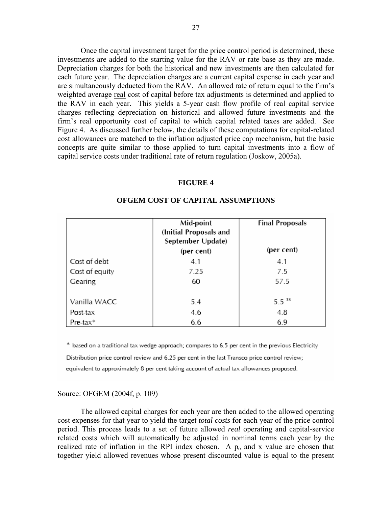Once the capital investment target for the price control period is determined, these investments are added to the starting value for the RAV or rate base as they are made. Depreciation charges for both the historical and new investments are then calculated for each future year. The depreciation charges are a current capital expense in each year and are simultaneously deducted from the RAV. An allowed rate of return equal to the firm's weighted average real cost of capital before tax adjustments is determined and applied to the RAV in each year. This yields a 5-year cash flow profile of real capital service charges reflecting depreciation on historical and allowed future investments and the firm's real opportunity cost of capital to which capital related taxes are added. See Figure 4. As discussed further below, the details of these computations for capital-related cost allowances are matched to the inflation adjusted price cap mechanism, but the basic concepts are quite similar to those applied to turn capital investments into a flow of capital service costs under traditional rate of return regulation (Joskow, 2005a).

## **FIGURE 4**

|                 | Mid-point<br>(Initial Proposals and<br>September Update)<br>(per cent) | <b>Final Proposals</b><br>(per cent) |
|-----------------|------------------------------------------------------------------------|--------------------------------------|
| Cost of debt    | 4.1                                                                    | 4.1                                  |
| Cost of equity  | 7.25                                                                   | 7.5                                  |
| Gearing         | 60                                                                     | 57.5                                 |
| Vanilla WACC    | 5.4                                                                    | $5.5^{33}$                           |
| Post-tax        | 4.6                                                                    | 4.8                                  |
| $Pre$ -ta $x^*$ | 6.6                                                                    | 6.9                                  |

## **OFGEM COST OF CAPITAL ASSUMPTIONS**

\* based on a traditional tax wedge approach; compares to 6.5 per cent in the previous Electricity Distribution price control review and 6.25 per cent in the last Transco price control review; equivalent to approximately 8 per cent taking account of actual tax allowances proposed.

## Source: OFGEM (2004f, p. 109)

The allowed capital charges for each year are then added to the allowed operating cost expenses for that year to yield the target *total costs* for each year of the price control period. This process leads to a set of future allowed *real* operating and capital-service related costs which will automatically be adjusted in nominal terms each year by the realized rate of inflation in the RPI index chosen. A  $p_0$  and x value are chosen that together yield allowed revenues whose present discounted value is equal to the present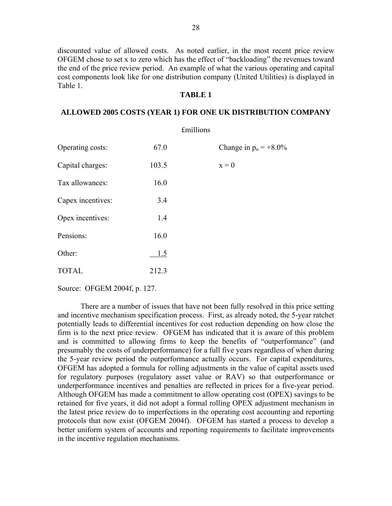discounted value of allowed costs. As noted earlier, in the most recent price review OFGEM chose to set x to zero which has the effect of "backloading" the revenues toward the end of the price review period. An example of what the various operating and capital cost components look like for one distribution company (United Utilities) is displayed in Table 1.

# **TABLE 1**

# **ALLOWED 2005 COSTS (YEAR 1) FOR ONE UK DISTRIBUTION COMPANY**

|                   |       | £millions |                          |
|-------------------|-------|-----------|--------------------------|
| Operating costs:  | 67.0  |           | Change in $p_0 = +8.0\%$ |
| Capital charges:  | 103.5 |           | $x = 0$                  |
| Tax allowances:   | 16.0  |           |                          |
| Capex incentives: | 3.4   |           |                          |
| Opex incentives:  | 1.4   |           |                          |
| Pensions:         | 16.0  |           |                          |
| Other:            | 1.5   |           |                          |
| <b>TOTAL</b>      | 212.3 |           |                          |

Source: OFGEM 2004f, p. 127.

There are a number of issues that have not been fully resolved in this price setting and incentive mechanism specification process. First, as already noted, the 5-year ratchet potentially leads to differential incentives for cost reduction depending on how close the firm is to the next price review. OFGEM has indicated that it is aware of this problem and is committed to allowing firms to keep the benefits of "outperformance" (and presumably the costs of underperformance) for a full five years regardless of when during the 5-year review period the outperformance actually occurs. For capital expenditures, OFGEM has adopted a formula for rolling adjustments in the value of capital assets used for regulatory purposes (regulatory asset value or RAV) so that outperformance or underperformance incentives and penalties are reflected in prices for a five-year period. Although OFGEM has made a commitment to allow operating cost (OPEX) savings to be retained for five years, it did not adopt a formal rolling OPEX adjustment mechanism in the latest price review do to imperfections in the operating cost accounting and reporting protocols that now exist (OFGEM 2004f). OFGEM has started a process to develop a better uniform system of accounts and reporting requirements to facilitate improvements in the incentive regulation mechanisms.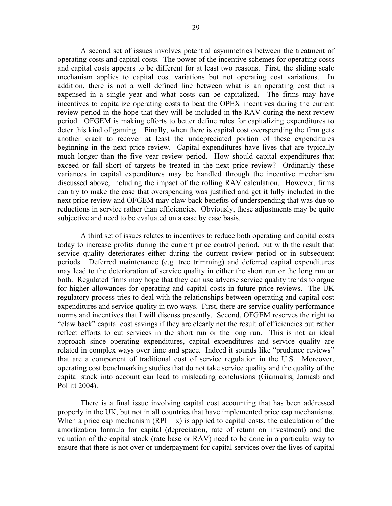A second set of issues involves potential asymmetries between the treatment of operating costs and capital costs. The power of the incentive schemes for operating costs and capital costs appears to be different for at least two reasons. First, the sliding scale mechanism applies to capital cost variations but not operating cost variations. In addition, there is not a well defined line between what is an operating cost that is expensed in a single year and what costs can be capitalized. The firms may have incentives to capitalize operating costs to beat the OPEX incentives during the current review period in the hope that they will be included in the RAV during the next review period. OFGEM is making efforts to better define rules for capitalizing expenditures to deter this kind of gaming. Finally, when there is capital cost overspending the firm gets another crack to recover at least the undepreciated portion of these expenditures beginning in the next price review. Capital expenditures have lives that are typically much longer than the five year review period. How should capital expenditures that exceed or fall short of targets be treated in the next price review? Ordinarily these variances in capital expenditures may be handled through the incentive mechanism discussed above, including the impact of the rolling RAV calculation. However, firms can try to make the case that overspending was justified and get it fully included in the next price review and OFGEM may claw back benefits of underspending that was due to reductions in service rather than efficiencies. Obviously, these adjustments may be quite subjective and need to be evaluated on a case by case basis.

A third set of issues relates to incentives to reduce both operating and capital costs today to increase profits during the current price control period, but with the result that service quality deteriorates either during the current review period or in subsequent periods. Deferred maintenance (e.g. tree trimming) and deferred capital expenditures may lead to the deterioration of service quality in either the short run or the long run or both. Regulated firms may hope that they can use adverse service quality trends to argue for higher allowances for operating and capital costs in future price reviews. The UK regulatory process tries to deal with the relationships between operating and capital cost expenditures and service quality in two ways. First, there are service quality performance norms and incentives that I will discuss presently. Second, OFGEM reserves the right to "claw back" capital cost savings if they are clearly not the result of efficiencies but rather reflect efforts to cut services in the short run or the long run. This is not an ideal approach since operating expenditures, capital expenditures and service quality are related in complex ways over time and space. Indeed it sounds like "prudence reviews" that are a component of traditional cost of service regulation in the U.S. Moreover, operating cost benchmarking studies that do not take service quality and the quality of the capital stock into account can lead to misleading conclusions (Giannakis, Jamasb and Pollitt 2004).

There is a final issue involving capital cost accounting that has been addressed properly in the UK, but not in all countries that have implemented price cap mechanisms. When a price cap mechanism  $(RPI - x)$  is applied to capital costs, the calculation of the amortization formula for capital (depreciation, rate of return on investment) and the valuation of the capital stock (rate base or RAV) need to be done in a particular way to ensure that there is not over or underpayment for capital services over the lives of capital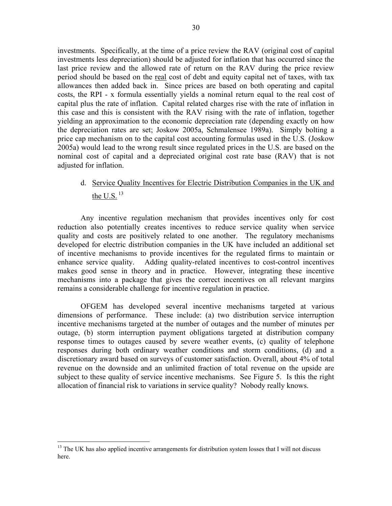investments. Specifically, at the time of a price review the RAV (original cost of capital investments less depreciation) should be adjusted for inflation that has occurred since the last price review and the allowed rate of return on the RAV during the price review period should be based on the real cost of debt and equity capital net of taxes, with tax allowances then added back in. Since prices are based on both operating and capital costs, the RPI - x formula essentially yields a nominal return equal to the real cost of capital plus the rate of inflation. Capital related charges rise with the rate of inflation in this case and this is consistent with the RAV rising with the rate of inflation, together yielding an approximation to the economic depreciation rate (depending exactly on how the depreciation rates are set; Joskow 2005a, Schmalensee 1989a). Simply bolting a price cap mechanism on to the capital cost accounting formulas used in the U.S. (Joskow 2005a) would lead to the wrong result since regulated prices in the U.S. are based on the nominal cost of capital and a depreciated original cost rate base (RAV) that is not adjusted for inflation.

# d. Service Quality Incentives for Electric Distribution Companies in the UK and the U.S. $^{13}$

Any incentive regulation mechanism that provides incentives only for cost reduction also potentially creates incentives to reduce service quality when service quality and costs are positively related to one another. The regulatory mechanisms developed for electric distribution companies in the UK have included an additional set of incentive mechanisms to provide incentives for the regulated firms to maintain or enhance service quality. Adding quality-related incentives to cost-control incentives makes good sense in theory and in practice. However, integrating these incentive mechanisms into a package that gives the correct incentives on all relevant margins remains a considerable challenge for incentive regulation in practice.

 OFGEM has developed several incentive mechanisms targeted at various dimensions of performance. These include: (a) two distribution service interruption incentive mechanisms targeted at the number of outages and the number of minutes per outage, (b) storm interruption payment obligations targeted at distribution company response times to outages caused by severe weather events, (c) quality of telephone responses during both ordinary weather conditions and storm conditions, (d) and a discretionary award based on surveys of customer satisfaction. Overall, about 4% of total revenue on the downside and an unlimited fraction of total revenue on the upside are subject to these quality of service incentive mechanisms. See Figure 5. Is this the right allocation of financial risk to variations in service quality? Nobody really knows.

1

 $<sup>13</sup>$  The UK has also applied incentive arrangements for distribution system losses that I will not discuss</sup> here.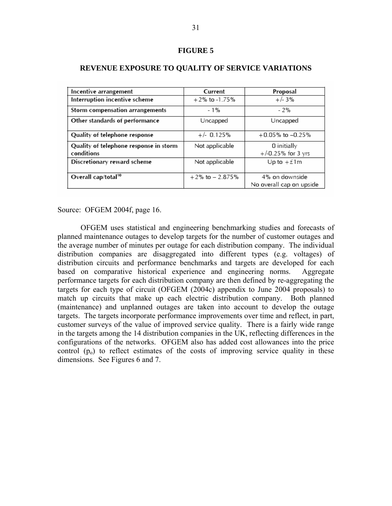| Incentive arrangement                                | Current              | Proposal                                   |
|------------------------------------------------------|----------------------|--------------------------------------------|
| Interruption incentive scheme                        | $+2\%$ to -1.75%     | $+/-3%$                                    |
| Storm compensation arrangements                      | $-1%$                | - 2%                                       |
| Other standards of performance                       | Uncapped             | Uncapped                                   |
| Quality of telephone response                        | $+/- 0.125%$         | $+0.05\%$ to $-0.25\%$                     |
| Quality of telephone response in storm<br>conditions | Not applicable       | 0 initially<br>$+/-0.25%$ for 3 yrs        |
| Discretionary reward scheme                          | Not applicable       | Up to $+£1m$                               |
| Overall cap/total <sup>10</sup>                      | $+2\%$ to $-2.875\%$ | 4% on downside<br>No overall cap on upside |

# **REVENUE EXPOSURE TO QUALITY OF SERVICE VARIATIONS**

Source: OFGEM 2004f, page 16.

 OFGEM uses statistical and engineering benchmarking studies and forecasts of planned maintenance outages to develop targets for the number of customer outages and the average number of minutes per outage for each distribution company. The individual distribution companies are disaggregated into different types (e.g. voltages) of distribution circuits and performance benchmarks and targets are developed for each based on comparative historical experience and engineering norms. Aggregate performance targets for each distribution company are then defined by re-aggregating the targets for each type of circuit (OFGEM (2004c) appendix to June 2004 proposals) to match up circuits that make up each electric distribution company. Both planned (maintenance) and unplanned outages are taken into account to develop the outage targets. The targets incorporate performance improvements over time and reflect, in part, customer surveys of the value of improved service quality. There is a fairly wide range in the targets among the 14 distribution companies in the UK, reflecting differences in the configurations of the networks. OFGEM also has added cost allowances into the price control  $(p_0)$  to reflect estimates of the costs of improving service quality in these dimensions. See Figures 6 and 7.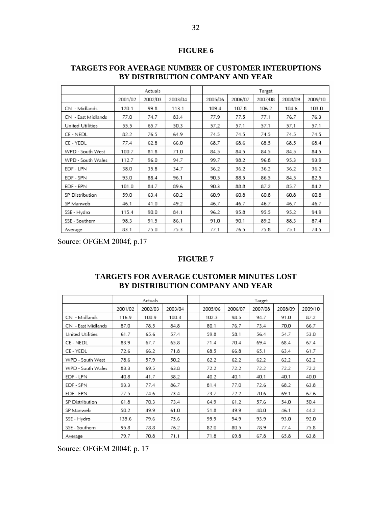# **FIGURE 6**

# **TARGETS FOR AVERAGE NUMBER OF CUSTOMER INTERUPTIONS BY DISTRIBUTION COMPANY AND YEAR**

|                    |         | Actuals |         | Target  |         |         |         |         |
|--------------------|---------|---------|---------|---------|---------|---------|---------|---------|
|                    | 2001/02 | 2002/03 | 2003/04 | 2005/06 | 2006/07 | 2007/08 | 2008/09 | 2009/10 |
| CN - Midlands      | 120.1   | 99.8    | 113.1   | 109.4   | 107.8   | 106.2   | 104.6   | 103.0   |
| CN - East Midlands | 77.0    | 74.7    | 83.4    | 77.9    | 77.5    | 77.1    | 76.7    | 76.3    |
| United Utilities   | 55.5    | 65.7    | 50.3    | 57.2    | 57.1    | 57.1    | 57.1    | 57.1    |
| CE - NEDL          | 82.2    | 76.5    | 64.9    | 74.5    | 74.5    | 74.5    | 74.5    | 74.5    |
| CE - YEDL          | 77.4    | 62.8    | 66.0    | 68.7    | 68.6    | 68.5    | 68.5    | 68.4    |
| WPD - South West   | 100.7   | 81.8    | 71.0    | 84.5    | 84.5    | 84.5    | 84.5    | 84.5    |
| WPD - South Wales  | 112.7   | 96.0    | 94.7    | 99.7    | 98.2    | 96.8    | 95.3    | 93.9    |
| EDF - LPN          | 38.0    | 35.8    | 34.7    | 36.2    | 36.2    | 36.2    | 36.2    | 36.2    |
| EDF - SPN          | 93.0    | 88.4    | 96.1    | 90.5    | 88.5    | 86.5    | 84.5    | 82.5    |
| EDF - EPN          | 101.0   | 84.7    | 89.6    | 90.3    | 88.8    | 87.2    | 85.7    | 84.2    |
| SP Distribution    | 59.0    | 63.4    | 60.2    | 60.9    | 60.8    | 60.8    | 60.8    | 60.8    |
| SP Manweb          | 46.1    | 41.0    | 49.2    | 46.7    | 46.7    | 46.7    | 46.7    | 46.7    |
| SSE - Hydro        | 115.4   | 90.0    | 84.1    | 96.2    | 95.8    | 95.5    | 95.2    | 94.9    |
| SSE - Southern     | 98.3    | 91.5    | 86.1    | 91.0    | 90.1    | 89.2    | 88.3    | 87.4    |
| Average            | 83.1    | 75.0    | 75.3    | 77.1    | 76.5    | 75.8    | 75.1    | 74.5    |

Source: OFGEM 2004f, p.17

# **FIGURE 7**

# **TARGETS FOR AVERAGE CUSTOMER MINUTES LOST BY DISTRIBUTION COMPANY AND YEAR**

|                    |         | Actuals |         |         |         | Target  |         |         |
|--------------------|---------|---------|---------|---------|---------|---------|---------|---------|
|                    | 2001/02 | 2002/03 | 2003/04 | 2005/06 | 2006/07 | 2007/08 | 2008/09 | 2009/10 |
| CN - Midlands      | 116.9   | 100.9   | 100.3   | 102.3   | 98.5    | 94.7    | 91.0    | 87.2    |
| CN - East Midlands | 87.0    | 78.5    | 84.8    | 80.1    | 76.7    | 73.4    | 70.0    | 66.7    |
| United Utilities   | 61.7    | 65.6    | 57.4    | 59.8    | 58.1    | 56.4    | 54.7    | 53.0    |
| CE - NEDL          | 83.9    | 67.7    | 65.8    | 71.4    | 70.4    | 69.4    | 68.4    | 67.4    |
| CE - YEDL          | 72.6    | 66.2    | 71.8    | 68.5    | 66.8    | 65.1    | 63.4    | 61.7    |
| WPD - South West   | 78.6    | 57.9    | 50.2    | 62.2    | 62.2    | 62.2    | 62.2    | 62.2    |
| WPD - South Wales  | 83.3    | 69.5    | 63.8    | 72.2    | 72.2    | 72.2    | 72.2    | 72.2    |
| EDF - LPN          | 40.8    | 41.7    | 38.2    | 40.2    | 40.1    | 40.1    | 40.1    | 40.0    |
| EDF - SPN          | 93.3    | 77.4    | 86.7    | 81.4    | 77.0    | 72.6    | 68.2    | 63.8    |
| EDF - EPN          | 77.5    | 74.6    | 73.4    | 73.7    | 72.2    | 70.6    | 69.1    | 67.6    |
| SP Distribution    | 61.8    | 70.3    | 73.4    | 64.9    | 61.2    | 57.6    | 54.0    | 50.4    |
| SP Manweb          | 50.2    | 49.9    | 61.0    | 51.8    | 49.9    | 48.0    | 46.1    | 44.2    |
| SSE - Hydro        | 135.6   | 79.6    | 75.6    | 95.9    | 94.9    | 93.9    | 93.0    | 92.0    |
| SSE - Southern     | 95.8    | 78.8    | 76.2    | 82.0    | 80.5    | 78.9    | 77.4    | 75.8    |
| Average            | 79.7    | 70.8    | 71.1    | 71.8    | 69.8    | 67.8    | 65.8    | 63.8    |

Source: OFGEM 2004f, p. 17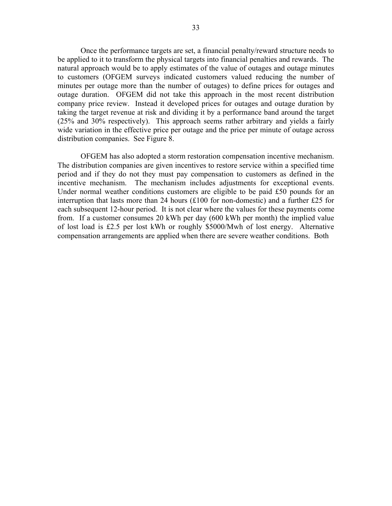Once the performance targets are set, a financial penalty/reward structure needs to be applied to it to transform the physical targets into financial penalties and rewards. The natural approach would be to apply estimates of the value of outages and outage minutes to customers (OFGEM surveys indicated customers valued reducing the number of minutes per outage more than the number of outages) to define prices for outages and outage duration. OFGEM did not take this approach in the most recent distribution company price review. Instead it developed prices for outages and outage duration by taking the target revenue at risk and dividing it by a performance band around the target (25% and 30% respectively). This approach seems rather arbitrary and yields a fairly wide variation in the effective price per outage and the price per minute of outage across distribution companies. See Figure 8.

OFGEM has also adopted a storm restoration compensation incentive mechanism. The distribution companies are given incentives to restore service within a specified time period and if they do not they must pay compensation to customers as defined in the incentive mechanism. The mechanism includes adjustments for exceptional events. Under normal weather conditions customers are eligible to be paid £50 pounds for an interruption that lasts more than 24 hours  $(f100)$  for non-domestic) and a further  $f25$  for each subsequent 12-hour period. It is not clear where the values for these payments come from. If a customer consumes 20 kWh per day (600 kWh per month) the implied value of lost load is £2.5 per lost kWh or roughly \$5000/Mwh of lost energy. Alternative compensation arrangements are applied when there are severe weather conditions. Both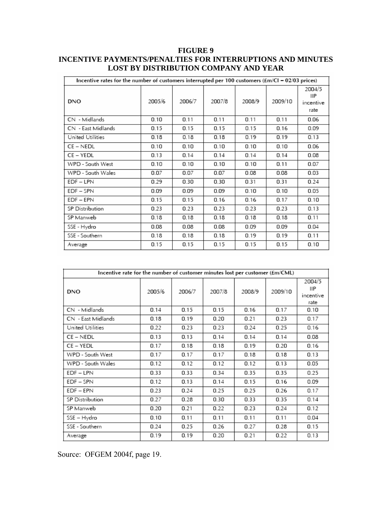| <b>FIGURE 9</b>                                                   |  |  |  |  |  |  |
|-------------------------------------------------------------------|--|--|--|--|--|--|
| <b>INCENTIVE PAYMENTS/PENALTIES FOR INTERRUPTIONS AND MINUTES</b> |  |  |  |  |  |  |
| <b>LOST BY DISTRIBUTION COMPANY AND YEAR</b>                      |  |  |  |  |  |  |

| Incentive rates for the number of customers interrupted per 100 customers (£m/CI - 02/03 prices) |        |        |        |        |         |                                    |  |  |
|--------------------------------------------------------------------------------------------------|--------|--------|--------|--------|---------|------------------------------------|--|--|
| <b>DNO</b>                                                                                       | 2005/6 | 2006/7 | 2007/8 | 2008/9 | 2009/10 | 2004/5<br>IIP<br>incentive<br>rate |  |  |
| CN - Midlands                                                                                    | 0.10   | 0.11   | 0.11   | 0.11   | 0.11    | 0.06                               |  |  |
| CN - East Midlands                                                                               | 0.15   | 0.15   | 0.15   | 0.15   | 0.16    | 0.09                               |  |  |
| United Utilities                                                                                 | 0.18   | 0.18   | 0.18   | 0.19   | 0.19    | 0.13                               |  |  |
| CE - NEDL                                                                                        | 0.10   | 0.10   | 0.10   | 0.10   | 0.10    | 0.06                               |  |  |
| CE - YEDL                                                                                        | 0.13   | 0.14   | 0.14   | 0.14   | 0.14    | 0.08                               |  |  |
| WPD - South West                                                                                 | 0.10   | 0.10   | 0.10   | 0.10   | 0.11    | 0.07                               |  |  |
| WPD - South Wales                                                                                | 0.07   | 0.07   | 0.07   | 0.08   | 0.08    | 0.03                               |  |  |
| $EDF - LPN$                                                                                      | 0.29   | 0.30   | 0.30   | 0.31   | 0.31    | 0.24                               |  |  |
| $EDF - SPN$                                                                                      | 0.09   | 0.09   | 0.09   | 0.10   | 0.10    | 0.05                               |  |  |
| EDF - EPN                                                                                        | 0.15   | 0.15   | 0.16   | 0.16   | 0.17    | 0.10                               |  |  |
| SP Distribution                                                                                  | 0.23   | 0.23   | 0.23   | 0.23   | 0.23    | 0.13                               |  |  |
| SP Manweb                                                                                        | 0.18   | 0.18   | 0.18   | 0.18   | 0.18    | 0.11                               |  |  |
| SSE - Hydro                                                                                      | 0.08   | 0.08   | 0.08   | 0.09   | 0.09    | 0.04                               |  |  |
| SSE - Southern                                                                                   | 0.18   | 0.18   | 0.18   | 0.19   | 0.19    | 0.11                               |  |  |
| Average                                                                                          | 0.15   | 0.15   | 0.15   | 0.15   | 0.15    | 0.10                               |  |  |

| Incentive rate for the number of customer minutes lost per customer (£m/CML) |        |        |        |        |         |                                    |  |  |
|------------------------------------------------------------------------------|--------|--------|--------|--------|---------|------------------------------------|--|--|
| <b>DNO</b>                                                                   | 2005/6 | 2006/7 | 2007/8 | 2008/9 | 2009/10 | 2004/5<br>11P<br>incentive<br>rate |  |  |
| CN - Midlands                                                                | 0.14   | 0.15   | 0.15   | 0.16   | 0.17    | 0.10                               |  |  |
| CN - East Midlands                                                           | 0.18   | 0.19   | 0.20   | 0.21   | 0.23    | 0.17                               |  |  |
| United Utilities                                                             | 0.22   | 0.23   | 0.23   | 0.24   | 0.25    | 0.16                               |  |  |
| CE – NEDL                                                                    | 0.13   | 0.13   | 0.14   | 0.14   | 0.14    | 0.08                               |  |  |
| CE - YEDL                                                                    | 0.17   | 0.18   | 0.18   | 0.19   | 0.20    | 0.16                               |  |  |
| WPD - South West                                                             | 0.17   | 0.17   | 0.17   | 0.18   | 0.18    | 0.13                               |  |  |
| WPD - South Wales                                                            | 0.12   | 0.12   | 0.12   | 0.12   | 0.13    | 0.05                               |  |  |
| EDF-LPN                                                                      | 0.33   | 0.33   | 0.34   | 0.35   | 0.35    | 0.25                               |  |  |
| EDF-SPN                                                                      | 0.12   | 0.13   | 0.14   | 0.15   | 0.16    | 0.09                               |  |  |
| EDF - EPN                                                                    | 0.23   | 0.24   | 0.25   | 0.25   | 0.26    | 0.17                               |  |  |
| SP Distribution                                                              | 0.27   | 0.28   | 0.30   | 0.33   | 0.35    | 0.14                               |  |  |
| SP Manweb                                                                    | 0.20   | 0.21   | 0.22   | 0.23   | 0.24    | 0.12                               |  |  |
| SSE – Hydro                                                                  | 0.10   | 0.11   | 0.11   | 0.11   | 0.11    | 0.04                               |  |  |
| SSE - Southern                                                               | 0.24   | 0.25   | 0.26   | 0.27   | 0.28    | 0.15                               |  |  |
| Average                                                                      | 0.19   | 0.19   | 0.20   | 0.21   | 0.22    | 0.13                               |  |  |

Source: OFGEM 2004f, page 19.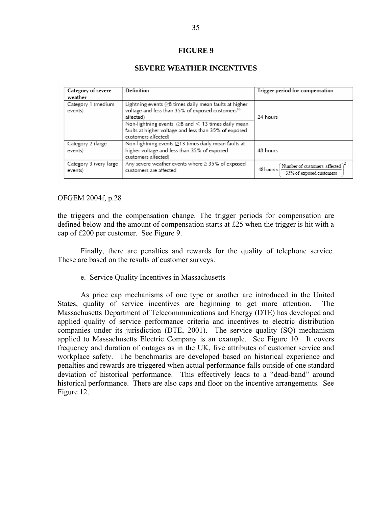# **FIGURE 9**

# **SEVERE WEATHER INCENTIVES**

| Category of severe<br>weather     | Definition                                                                                                                                                                                                                                                                                        | Trigger period for compensation                                        |
|-----------------------------------|---------------------------------------------------------------------------------------------------------------------------------------------------------------------------------------------------------------------------------------------------------------------------------------------------|------------------------------------------------------------------------|
| Category 1 (medium<br>events)     | Lightning events $\geq$ 8 times daily mean faults at higher<br>voltage and less than 35% of exposed customers <sup>16</sup><br>affected)<br>Non-lightning events $(28 \text{ and } 513 \text{ times daily mean})$<br>faults at higher voltage and less than 35% of exposed<br>customers affected) | 24 hours                                                               |
| Category 2 (large<br>events)      | Non-lightning events $\geq$ 13 times daily mean faults at<br>higher voltage and less than 35% of exposed<br>customers affected)                                                                                                                                                                   | 48 hours                                                               |
| Category 3 (very large<br>events) | Any severe weather events where $\geq$ 35% of exposed<br>customers are affected                                                                                                                                                                                                                   | Number of customers affected<br>48 hours ×<br>35% of exposed customers |

## OFGEM 2004f, p.28

the triggers and the compensation change. The trigger periods for compensation are defined below and the amount of compensation starts at £25 when the trigger is hit with a cap of £200 per customer. See Figure 9.

 Finally, there are penalties and rewards for the quality of telephone service. These are based on the results of customer surveys.

## e. Service Quality Incentives in Massachusetts

 As price cap mechanisms of one type or another are introduced in the United States, quality of service incentives are beginning to get more attention. The Massachusetts Department of Telecommunications and Energy (DTE) has developed and applied quality of service performance criteria and incentives to electric distribution companies under its jurisdiction (DTE, 2001). The service quality (SQ) mechanism applied to Massachusetts Electric Company is an example. See Figure 10. It covers frequency and duration of outages as in the UK, five attributes of customer service and workplace safety. The benchmarks are developed based on historical experience and penalties and rewards are triggered when actual performance falls outside of one standard deviation of historical performance. This effectively leads to a "dead-band" around historical performance. There are also caps and floor on the incentive arrangements. See Figure 12.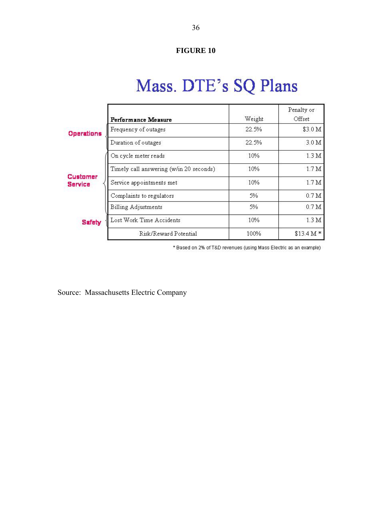# **FIGURE 10**

# Mass. DTE's SQ Plans

|                                   | <b>Performance Measure</b>              | Weight | Penalty or<br>Offset |
|-----------------------------------|-----------------------------------------|--------|----------------------|
| <b>Operations</b>                 | Frequency of outages                    | 22.5%  | \$3.0 M              |
|                                   | Duration of outages                     | 22.5%  | 3.0 <sub>M</sub>     |
|                                   | On cycle meter reads                    | 10%    | 1.3M                 |
|                                   | Timely call answering (w/in 20 seconds) | 10%    | 1.7 <sub>M</sub>     |
| <b>Customer</b><br><b>Service</b> | Service appointments met                | 10%    | 1.7 <sub>M</sub>     |
|                                   | Complaints to regulators                | 5%     | 0.7 <sub>M</sub>     |
|                                   | <b>Billing Adjustments</b>              | 5%     | 0.7 <sub>M</sub>     |
| <b>Safety</b>                     | Lost Work Time Accidents                | 10%    | 1.3M                 |
|                                   | Risk/Reward Potential                   | 100%   | $$13.4 M*$           |

\* Based on 2% of T&D revenues (using Mass Electric as an example)

Source: Massachusetts Electric Company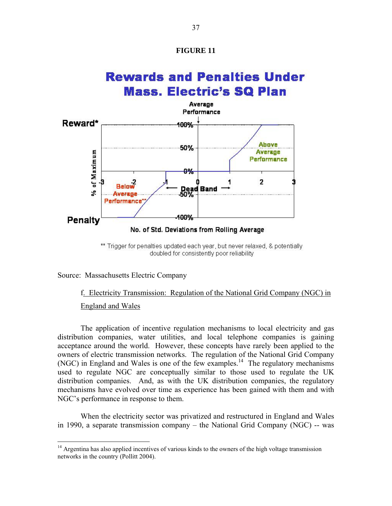



<sup>\*\*</sup> Trigger for penalties updated each year, but never relaxed, & potentially doubled for consistently poor reliability

Source: Massachusetts Electric Company

1

# f. Electricity Transmission: Regulation of the National Grid Company (NGC) in England and Wales

 The application of incentive regulation mechanisms to local electricity and gas distribution companies, water utilities, and local telephone companies is gaining acceptance around the world. However, these concepts have rarely been applied to the owners of electric transmission networks. The regulation of the National Grid Company (NGC) in England and Wales is one of the few examples.<sup>14</sup> The regulatory mechanisms used to regulate NGC are conceptually similar to those used to regulate the UK distribution companies. And, as with the UK distribution companies, the regulatory mechanisms have evolved over time as experience has been gained with them and with NGC's performance in response to them.

When the electricity sector was privatized and restructured in England and Wales in 1990, a separate transmission company – the National Grid Company (NGC) -- was

 $14$  Argentina has also applied incentives of various kinds to the owners of the high voltage transmission networks in the country (Pollitt 2004).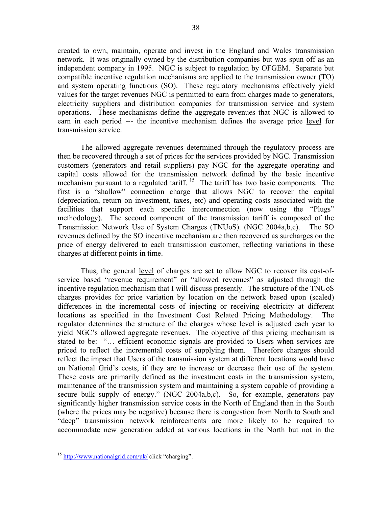created to own, maintain, operate and invest in the England and Wales transmission network. It was originally owned by the distribution companies but was spun off as an independent company in 1995. NGC is subject to regulation by OFGEM. Separate but compatible incentive regulation mechanisms are applied to the transmission owner (TO) and system operating functions (SO). These regulatory mechanisms effectively yield values for the target revenues NGC is permitted to earn from charges made to generators, electricity suppliers and distribution companies for transmission service and system operations. These mechanisms define the aggregate revenues that NGC is allowed to earn in each period --- the incentive mechanism defines the average price level for transmission service.

The allowed aggregate revenues determined through the regulatory process are then be recovered through a set of prices for the services provided by NGC. Transmission customers (generators and retail suppliers) pay NGC for the aggregate operating and capital costs allowed for the transmission network defined by the basic incentive mechanism pursuant to a regulated tariff.  $15$  The tariff has two basic components. The first is a "shallow" connection charge that allows NGC to recover the capital (depreciation, return on investment, taxes, etc) and operating costs associated with the facilities that support each specific interconnection (now using the "Plugs" methodology). The second component of the transmission tariff is composed of the Transmission Network Use of System Charges (TNUoS). (NGC 2004a,b,c). The SO revenues defined by the SO incentive mechanism are then recovered as surcharges on the price of energy delivered to each transmission customer, reflecting variations in these charges at different points in time.

Thus, the general level of charges are set to allow NGC to recover its cost-ofservice based "revenue requirement" or "allowed revenues" as adjusted through the incentive regulation mechanism that I will discuss presently. The structure of the TNUoS charges provides for price variation by location on the network based upon (scaled) differences in the incremental costs of injecting or receiving electricity at different locations as specified in the Investment Cost Related Pricing Methodology. The regulator determines the structure of the charges whose level is adjusted each year to yield NGC's allowed aggregate revenues. The objective of this pricing mechanism is stated to be: "… efficient economic signals are provided to Users when services are priced to reflect the incremental costs of supplying them. Therefore charges should reflect the impact that Users of the transmission system at different locations would have on National Grid's costs, if they are to increase or decrease their use of the system. These costs are primarily defined as the investment costs in the transmission system, maintenance of the transmission system and maintaining a system capable of providing a secure bulk supply of energy." (NGC 2004a,b,c). So, for example, generators pay significantly higher transmission service costs in the North of England than in the South (where the prices may be negative) because there is congestion from North to South and "deep" transmission network reinforcements are more likely to be required to accommodate new generation added at various locations in the North but not in the

<u>.</u>

<sup>15</sup> http://www.nationalgrid.com/uk/ click "charging".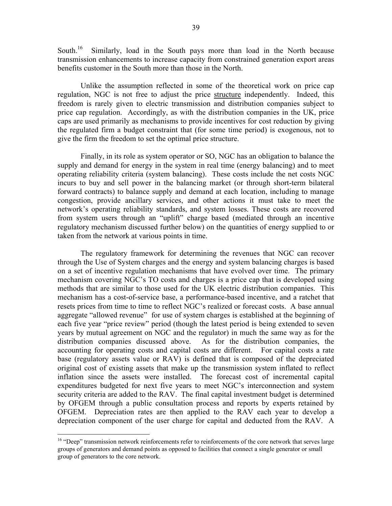South.<sup>16</sup> Similarly, load in the South pays more than load in the North because transmission enhancements to increase capacity from constrained generation export areas benefits customer in the South more than those in the North.

Unlike the assumption reflected in some of the theoretical work on price cap regulation, NGC is not free to adjust the price structure independently. Indeed, this freedom is rarely given to electric transmission and distribution companies subject to price cap regulation. Accordingly, as with the distribution companies in the UK, price caps are used primarily as mechanisms to provide incentives for cost reduction by giving the regulated firm a budget constraint that (for some time period) is exogenous, not to give the firm the freedom to set the optimal price structure.

Finally, in its role as system operator or SO, NGC has an obligation to balance the supply and demand for energy in the system in real time (energy balancing) and to meet operating reliability criteria (system balancing). These costs include the net costs NGC incurs to buy and sell power in the balancing market (or through short-term bilateral forward contracts) to balance supply and demand at each location, including to manage congestion, provide ancillary services, and other actions it must take to meet the network's operating reliability standards, and system losses. These costs are recovered from system users through an "uplift" charge based (mediated through an incentive regulatory mechanism discussed further below) on the quantities of energy supplied to or taken from the network at various points in time.

 The regulatory framework for determining the revenues that NGC can recover through the Use of System charges and the energy and system balancing charges is based on a set of incentive regulation mechanisms that have evolved over time. The primary mechanism covering NGC's TO costs and charges is a price cap that is developed using methods that are similar to those used for the UK electric distribution companies. This mechanism has a cost-of-service base, a performance-based incentive, and a ratchet that resets prices from time to time to reflect NGC's realized or forecast costs. A base annual aggregate "allowed revenue" for use of system charges is established at the beginning of each five year "price review" period (though the latest period is being extended to seven years by mutual agreement on NGC and the regulator) in much the same way as for the distribution companies discussed above. As for the distribution companies, the accounting for operating costs and capital costs are different. For capital costs a rate base (regulatory assets value or RAV) is defined that is composed of the depreciated original cost of existing assets that make up the transmission system inflated to reflect inflation since the assets were installed. The forecast cost of incremental capital expenditures budgeted for next five years to meet NGC's interconnection and system security criteria are added to the RAV. The final capital investment budget is determined by OFGEM through a public consultation process and reports by experts retained by OFGEM. Depreciation rates are then applied to the RAV each year to develop a depreciation component of the user charge for capital and deducted from the RAV. A

 $\overline{\phantom{a}}$ 

<sup>&</sup>lt;sup>16</sup> "Deep" transmission network reinforcements refer to reinforcements of the core network that serves large groups of generators and demand points as opposed to facilities that connect a single generator or small group of generators to the core network.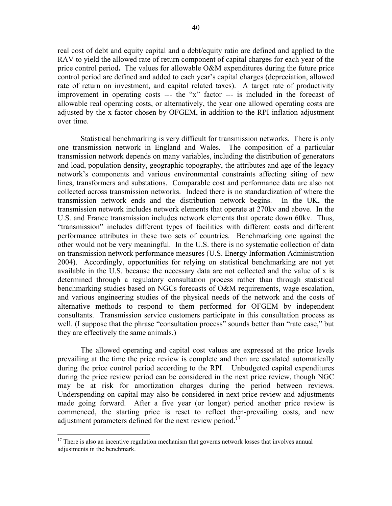real cost of debt and equity capital and a debt/equity ratio are defined and applied to the RAV to yield the allowed rate of return component of capital charges for each year of the price control period**.** The values for allowable O&M expenditures during the future price control period are defined and added to each year's capital charges (depreciation, allowed rate of return on investment, and capital related taxes). A target rate of productivity improvement in operating costs --- the "x" factor --- is included in the forecast of allowable real operating costs, or alternatively, the year one allowed operating costs are adjusted by the x factor chosen by OFGEM, in addition to the RPI inflation adjustment over time.

 Statistical benchmarking is very difficult for transmission networks. There is only one transmission network in England and Wales. The composition of a particular transmission network depends on many variables, including the distribution of generators and load, population density, geographic topography, the attributes and age of the legacy network's components and various environmental constraints affecting siting of new lines, transformers and substations. Comparable cost and performance data are also not collected across transmission networks. Indeed there is no standardization of where the transmission network ends and the distribution network begins. In the UK, the transmission network includes network elements that operate at 270kv and above. In the U.S. and France transmission includes network elements that operate down 60kv. Thus, "transmission" includes different types of facilities with different costs and different performance attributes in these two sets of countries. Benchmarking one against the other would not be very meaningful. In the U.S. there is no systematic collection of data on transmission network performance measures (U.S. Energy Information Administration 2004). Accordingly, opportunities for relying on statistical benchmarking are not yet available in the U.S. because the necessary data are not collected and the value of x is determined through a regulatory consultation process rather than through statistical benchmarking studies based on NGCs forecasts of O&M requirements, wage escalation, and various engineering studies of the physical needs of the network and the costs of alternative methods to respond to them performed for OFGEM by independent consultants. Transmission service customers participate in this consultation process as well. (I suppose that the phrase "consultation process" sounds better than "rate case," but they are effectively the same animals.)

 The allowed operating and capital cost values are expressed at the price levels prevailing at the time the price review is complete and then are escalated automatically during the price control period according to the RPI. Unbudgeted capital expenditures during the price review period can be considered in the next price review, though NGC may be at risk for amortization charges during the period between reviews. Underspending on capital may also be considered in next price review and adjustments made going forward. After a five year (or longer) period another price review is commenced, the starting price is reset to reflect then-prevailing costs, and new adjustment parameters defined for the next review period.<sup>17</sup>

1

<sup>&</sup>lt;sup>17</sup> There is also an incentive regulation mechanism that governs network losses that involves annual adjustments in the benchmark.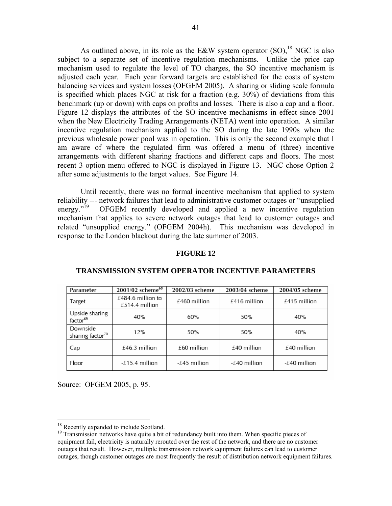As outlined above, in its role as the E&W system operator  $(SO)$ ,<sup>18</sup> NGC is also subject to a separate set of incentive regulation mechanisms. Unlike the price cap mechanism used to regulate the level of TO charges, the SO incentive mechanism is adjusted each year. Each year forward targets are established for the costs of system balancing services and system losses (OFGEM 2005). A sharing or sliding scale formula is specified which places NGC at risk for a fraction (e.g. 30%) of deviations from this benchmark (up or down) with caps on profits and losses. There is also a cap and a floor. Figure 12 displays the attributes of the SO incentive mechanisms in effect since 2001 when the New Electricity Trading Arrangements (NETA) went into operation. A similar incentive regulation mechanism applied to the SO during the late 1990s when the previous wholesale power pool was in operation. This is only the second example that I am aware of where the regulated firm was offered a menu of (three) incentive arrangements with different sharing fractions and different caps and floors. The most recent 3 option menu offered to NGC is displayed in Figure 13. NGC chose Option 2 after some adjustments to the target values. See Figure 14.

 Until recently, there was no formal incentive mechanism that applied to system reliability --- network failures that lead to administrative customer outages or "unsupplied energy. $19$  OFGEM recently developed and applied a new incentive regulation mechanism that applies to severe network outages that lead to customer outages and related "unsupplied energy." (OFGEM 2004h). This mechanism was developed in response to the London blackout during the late summer of 2003.

## **FIGURE 12**

| Parameter                                | 2001/02 scheme <sup>68</sup>            | 2002/03 scheme | 2003/04 scheme               | 2004/05 scheme |
|------------------------------------------|-----------------------------------------|----------------|------------------------------|----------------|
| Target                                   | $£484.6$ million to<br>$£514.4$ million | $£460$ million | $£416$ million               | $£415$ million |
| Upside sharing<br>factor <sup>69</sup>   | 40%                                     | 60%            | 50%                          | 40%            |
| Downside<br>sharing factor <sup>70</sup> | 12%                                     | 50%            | 50%                          | 40%            |
| Cap                                      | $£46.3$ million                         | £60 million    | £40 million<br>$£40$ million |                |
| Floor                                    | $-£15.4$ million                        | -£45 million   | $-£40$ million               | $-£40$ million |

# **TRANSMISSION SYSTEM OPERATOR INCENTIVE PARAMETERS**

Source: OFGEM 2005, p. 95.

 $\overline{\phantom{a}}$ 

<sup>&</sup>lt;sup>18</sup> Recently expanded to include Scotland.

<sup>&</sup>lt;sup>19</sup> Transmission networks have quite a bit of redundancy built into them. When specific pieces of equipment fail, electricity is naturally rerouted over the rest of the network, and there are no customer outages that result. However, multiple transmission network equipment failures can lead to customer outages, though customer outages are most frequently the result of distribution network equipment failures.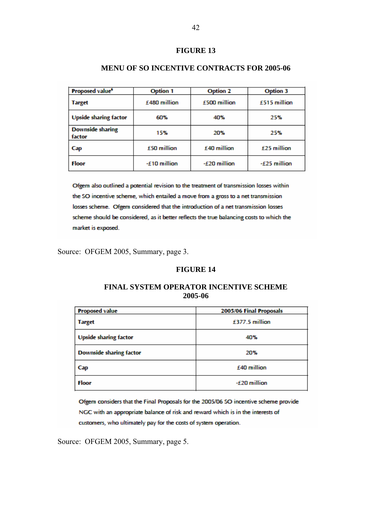# **FIGURE 13**

# **MENU OF SO INCENTIVE CONTRACTS FOR 2005-06**

| Proposed value <sup>6</sup>              | <b>Option 1</b> | <b>Option 2</b> | <b>Option 3</b> |
|------------------------------------------|-----------------|-----------------|-----------------|
| <b>Target</b>                            | £480 million    | £500 million    | £515 million    |
| <b>Upside sharing factor</b>             | 60%             | 40%             | 25%             |
| <b>Downside sharing</b><br>15%<br>factor |                 | 20%             | 25%             |
| Cap                                      | £50 million     | £40 million     | £25 million     |
| <b>Floor</b>                             | $-£10$ million  | $-E20$ million  | $-E25$ million  |

Ofgem also outlined a potential revision to the treatment of transmission losses within the SO incentive scheme, which entailed a move from a gross to a net transmission losses scheme. Ofgem considered that the introduction of a net transmission losses scheme should be considered, as it better reflects the true balancing costs to which the market is exposed.

Source: OFGEM 2005, Summary, page 3.

# **FIGURE 14**

# **FINAL SYSTEM OPERATOR INCENTIVE SCHEME 2005-06**

| <b>Proposed value</b>          | 2005/06 Final Proposals |  |
|--------------------------------|-------------------------|--|
| <b>Target</b>                  | £377.5 million          |  |
| <b>Upside sharing factor</b>   | 40%                     |  |
| <b>Downside sharing factor</b> | 20%                     |  |
| Cap                            | £40 million             |  |
| <b>Floor</b>                   | $-E20$ million          |  |

Ofgem considers that the Final Proposals for the 2005/06 SO incentive scheme provide NGC with an appropriate balance of risk and reward which is in the interests of customers, who ultimately pay for the costs of system operation.

Source: OFGEM 2005, Summary, page 5.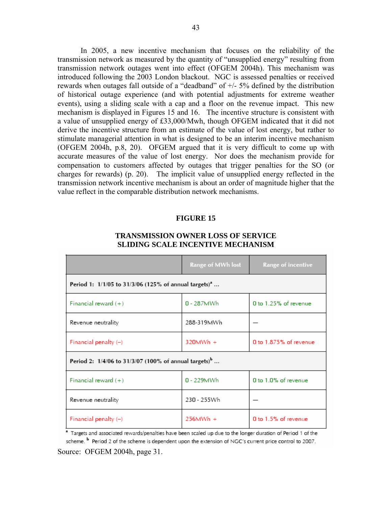In 2005, a new incentive mechanism that focuses on the reliability of the transmission network as measured by the quantity of "unsupplied energy" resulting from transmission network outages went into effect (OFGEM 2004h). This mechanism was introduced following the 2003 London blackout. NGC is assessed penalties or received rewards when outages fall outside of a "deadband" of +/- 5% defined by the distribution of historical outage experience (and with potential adjustments for extreme weather events), using a sliding scale with a cap and a floor on the revenue impact. This new mechanism is displayed in Figures 15 and 16. The incentive structure is consistent with a value of unsupplied energy of £33,000/Mwh, though OFGEM indicated that it did not derive the incentive structure from an estimate of the value of lost energy, but rather to stimulate managerial attention in what is designed to be an interim incentive mechanism (OFGEM 2004h, p.8, 20). OFGEM argued that it is very difficult to come up with accurate measures of the value of lost energy. Nor does the mechanism provide for compensation to customers affected by outages that trigger penalties for the SO (or charges for rewards) (p. 20). The implicit value of unsupplied energy reflected in the transmission network incentive mechanism is about an order of magnitude higher that the value reflect in the comparable distribution network mechanisms.

## **FIGURE 15**

# **TRANSMISSION OWNER LOSS OF SERVICE SLIDING SCALE INCENTIVE MECHANISM**

|                                                                   | Range of MWh lost | Range of incentive     |  |  |  |
|-------------------------------------------------------------------|-------------------|------------------------|--|--|--|
| Period 1: 1/1/05 to 31/3/06 (125% of annual targets) <sup>2</sup> |                   |                        |  |  |  |
| Financial reward $(+)$                                            | $0 - 287$ MWh     | 0 to 1.25% of revenue  |  |  |  |
| Revenue neutrality                                                | 288-319MWh        |                        |  |  |  |
| Financial penalty $(-)$                                           | $320MWh +$        | 0 to 1.875% of revenue |  |  |  |
| Period 2: 1/4/06 to 31/3/07 (100% of annual targets) <sup>b</sup> |                   |                        |  |  |  |
| Financial reward $(+)$                                            | 0 - 229MWh        | 0 to 1.0% of revenue   |  |  |  |
| Revenue neutrality                                                | 230 - 255Wh       |                        |  |  |  |
| Financial penalty $(-)$                                           | $256MWh +$        | 0 to 1.5% of revenue   |  |  |  |

<sup>a</sup> Targets and associated rewards/penalties have been scaled up due to the longer duration of Period 1 of the scheme.<sup>b</sup> Period 2 of the scheme is dependent upon the extension of NGC's current price control to 2007. Source: OFGEM 2004h, page 31.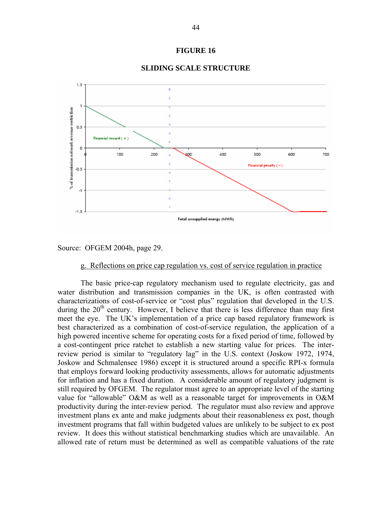## **FIGURE 16**



# **SLIDING SCALE STRUCTURE**

Source: OFGEM 2004h, page 29.

## g. Reflections on price cap regulation vs. cost of service regulation in practice

The basic price-cap regulatory mechanism used to regulate electricity, gas and water distribution and transmission companies in the UK, is often contrasted with characterizations of cost-of-service or "cost plus" regulation that developed in the U.S. during the  $20<sup>th</sup>$  century. However, I believe that there is less difference than may first meet the eye. The UK's implementation of a price cap based regulatory framework is best characterized as a combination of cost-of-service regulation, the application of a high powered incentive scheme for operating costs for a fixed period of time, followed by a cost-contingent price ratchet to establish a new starting value for prices. The interreview period is similar to "regulatory lag" in the U.S. context (Joskow 1972, 1974, Joskow and Schmalensee 1986) except it is structured around a specific RPI-x formula that employs forward looking productivity assessments, allows for automatic adjustments for inflation and has a fixed duration. A considerable amount of regulatory judgment is still required by OFGEM. The regulator must agree to an appropriate level of the starting value for "allowable" O&M as well as a reasonable target for improvements in O&M productivity during the inter-review period. The regulator must also review and approve investment plans ex ante and make judgments about their reasonableness ex post, though investment programs that fall within budgeted values are unlikely to be subject to ex post review. It does this without statistical benchmarking studies which are unavailable. An allowed rate of return must be determined as well as compatible valuations of the rate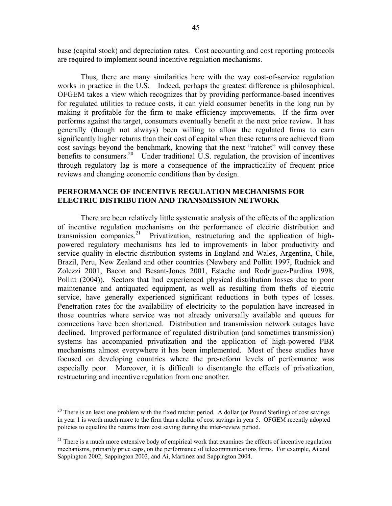base (capital stock) and depreciation rates. Cost accounting and cost reporting protocols are required to implement sound incentive regulation mechanisms.

Thus, there are many similarities here with the way cost-of-service regulation works in practice in the U.S. Indeed, perhaps the greatest difference is philosophical. OFGEM takes a view which recognizes that by providing performance-based incentives for regulated utilities to reduce costs, it can yield consumer benefits in the long run by making it profitable for the firm to make efficiency improvements. If the firm over performs against the target, consumers eventually benefit at the next price review. It has generally (though not always) been willing to allow the regulated firms to earn significantly higher returns than their cost of capital when these returns are achieved from cost savings beyond the benchmark, knowing that the next "ratchet" will convey these benefits to consumers.<sup>20</sup> Under traditional U.S. regulation, the provision of incentives through regulatory lag is more a consequence of the impracticality of frequent price reviews and changing economic conditions than by design.

# **PERFORMANCE OF INCENTIVE REGULATION MECHANISMS FOR ELECTRIC DISTRIBUTION AND TRANSMISSION NETWORK**

 There are been relatively little systematic analysis of the effects of the application of incentive regulation mechanisms on the performance of electric distribution and transmission companies.21 Privatization, restructuring and the application of highpowered regulatory mechanisms has led to improvements in labor productivity and service quality in electric distribution systems in England and Wales, Argentina, Chile, Brazil, Peru, New Zealand and other countries (Newbery and Pollitt 1997, Rudnick and Zolezzi 2001, Bacon and Besant-Jones 2001, Estache and Rodriguez-Pardina 1998, Pollitt (2004)). Sectors that had experienced physical distribution losses due to poor maintenance and antiquated equipment, as well as resulting from thefts of electric service, have generally experienced significant reductions in both types of losses. Penetration rates for the availability of electricity to the population have increased in those countries where service was not already universally available and queues for connections have been shortened. Distribution and transmission network outages have declined. Improved performance of regulated distribution (and sometimes transmission) systems has accompanied privatization and the application of high-powered PBR mechanisms almost everywhere it has been implemented. Most of these studies have focused on developing countries where the pre-reform levels of performance was especially poor. Moreover, it is difficult to disentangle the effects of privatization, restructuring and incentive regulation from one another.

 $\overline{a}$ 

 $20$  There is an least one problem with the fixed ratchet period. A dollar (or Pound Sterling) of cost savings in year 1 is worth much more to the firm than a dollar of cost savings in year 5. OFGEM recently adopted policies to equalize the returns from cost saving during the inter-review period.

<sup>&</sup>lt;sup>21</sup> There is a much more extensive body of empirical work that examines the effects of incentive regulation mechanisms, primarily price caps, on the performance of telecommunications firms. For example, Ai and Sappington 2002, Sappington 2003, and Ai, Martinez and Sappington 2004.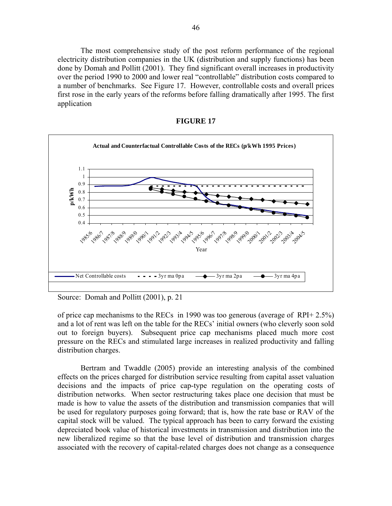The most comprehensive study of the post reform performance of the regional electricity distribution companies in the UK (distribution and supply functions) has been done by Domah and Pollitt (2001). They find significant overall increases in productivity over the period 1990 to 2000 and lower real "controllable" distribution costs compared to a number of benchmarks. See Figure 17. However, controllable costs and overall prices first rose in the early years of the reforms before falling dramatically after 1995. The first application

| <b>FIGURE 1</b> |
|-----------------|
|-----------------|



Source: Domah and Pollitt (2001), p. 21

of price cap mechanisms to the RECs in 1990 was too generous (average of RPI+ 2.5%) and a lot of rent was left on the table for the RECs' initial owners (who cleverly soon sold out to foreign buyers). Subsequent price cap mechanisms placed much more cost pressure on the RECs and stimulated large increases in realized productivity and falling distribution charges.

 Bertram and Twaddle (2005) provide an interesting analysis of the combined effects on the prices charged for distribution service resulting from capital asset valuation decisions and the impacts of price cap-type regulation on the operating costs of distribution networks. When sector restructuring takes place one decision that must be made is how to value the assets of the distribution and transmission companies that will be used for regulatory purposes going forward; that is, how the rate base or RAV of the capital stock will be valued. The typical approach has been to carry forward the existing depreciated book value of historical investments in transmission and distribution into the new liberalized regime so that the base level of distribution and transmission charges associated with the recovery of capital-related charges does not change as a consequence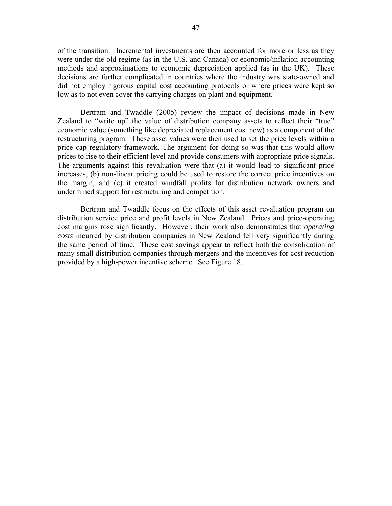of the transition. Incremental investments are then accounted for more or less as they were under the old regime (as in the U.S. and Canada) or economic/inflation accounting methods and approximations to economic depreciation applied (as in the UK). These decisions are further complicated in countries where the industry was state-owned and did not employ rigorous capital cost accounting protocols or where prices were kept so low as to not even cover the carrying charges on plant and equipment.

Bertram and Twaddle (2005) review the impact of decisions made in New Zealand to "write up" the value of distribution company assets to reflect their "true" economic value (something like depreciated replacement cost new) as a component of the restructuring program. These asset values were then used to set the price levels within a price cap regulatory framework. The argument for doing so was that this would allow prices to rise to their efficient level and provide consumers with appropriate price signals. The arguments against this revaluation were that (a) it would lead to significant price increases, (b) non-linear pricing could be used to restore the correct price incentives on the margin, and (c) it created windfall profits for distribution network owners and undermined support for restructuring and competition.

Bertram and Twaddle focus on the effects of this asset revaluation program on distribution service price and profit levels in New Zealand. Prices and price-operating cost margins rose significantly. However, their work also demonstrates that *operating costs* incurred by distribution companies in New Zealand fell very significantly during the same period of time. These cost savings appear to reflect both the consolidation of many small distribution companies through mergers and the incentives for cost reduction provided by a high-power incentive scheme. See Figure 18.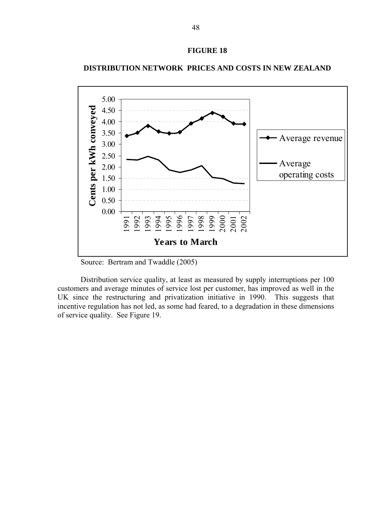



# **DISTRIBUTION NETWORK PRICES AND COSTS IN NEW ZEALAND**

Source: Bertram and Twaddle (2005)

Distribution service quality, at least as measured by supply interruptions per 100 customers and average minutes of service lost per customer, has improved as well in the UK since the restructuring and privatization initiative in 1990. This suggests that incentive regulation has not led, as some had feared, to a degradation in these dimensions of service quality. See Figure 19.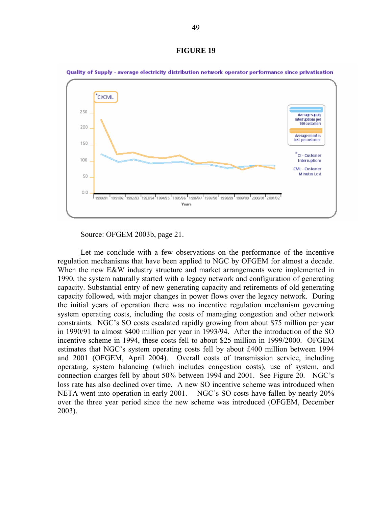#### **FIGURE 19**



Quality of Supply - average electricity distribution network operator performance since privatisation

Source: OFGEM 2003b, page 21.

Let me conclude with a few observations on the performance of the incentive regulation mechanisms that have been applied to NGC by OFGEM for almost a decade. When the new E&W industry structure and market arrangements were implemented in 1990, the system naturally started with a legacy network and configuration of generating capacity. Substantial entry of new generating capacity and retirements of old generating capacity followed, with major changes in power flows over the legacy network. During the initial years of operation there was no incentive regulation mechanism governing system operating costs, including the costs of managing congestion and other network constraints. NGC's SO costs escalated rapidly growing from about \$75 million per year in 1990/91 to almost \$400 million per year in 1993/94. After the introduction of the SO incentive scheme in 1994, these costs fell to about \$25 million in 1999/2000. OFGEM estimates that NGC's system operating costs fell by about £400 million between 1994 and 2001 (OFGEM, April 2004). Overall costs of transmission service, including operating, system balancing (which includes congestion costs), use of system, and connection charges fell by about 50% between 1994 and 2001. See Figure 20. NGC's loss rate has also declined over time. A new SO incentive scheme was introduced when NETA went into operation in early 2001. NGC's SO costs have fallen by nearly 20% over the three year period since the new scheme was introduced (OFGEM, December 2003).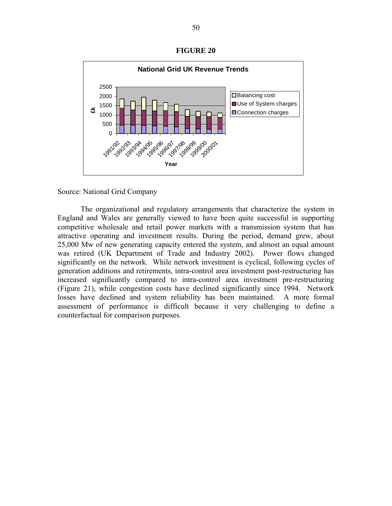**FIGURE 20**



## Source: National Grid Company

The organizational and regulatory arrangements that characterize the system in England and Wales are generally viewed to have been quite successful in supporting competitive wholesale and retail power markets with a transmission system that has attractive operating and investment results. During the period, demand grew, about 25,000 Mw of new generating capacity entered the system, and almost an equal amount was retired (UK Department of Trade and Industry 2002). Power flows changed significantly on the network. While network investment is cyclical, following cycles of generation additions and retirements, intra-control area investment post-restructuring has increased significantly compared to intra-control area investment pre-restructuring (Figure 21), while congestion costs have declined significantly since 1994. Network losses have declined and system reliability has been maintained. A more formal assessment of performance is difficult because it very challenging to define a counterfactual for comparison purposes.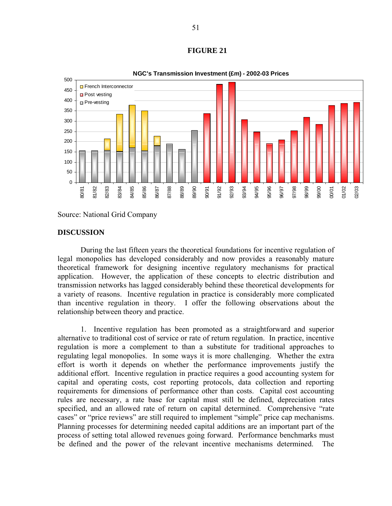# **FIGURE 21**



**NGC's Transmission Investment (£m) - 2002-03 Prices**

Source: National Grid Company

# **DISCUSSION**

 During the last fifteen years the theoretical foundations for incentive regulation of legal monopolies has developed considerably and now provides a reasonably mature theoretical framework for designing incentive regulatory mechanisms for practical application. However, the application of these concepts to electric distribution and transmission networks has lagged considerably behind these theoretical developments for a variety of reasons. Incentive regulation in practice is considerably more complicated than incentive regulation in theory. I offer the following observations about the relationship between theory and practice.

1. Incentive regulation has been promoted as a straightforward and superior alternative to traditional cost of service or rate of return regulation. In practice, incentive regulation is more a complement to than a substitute for traditional approaches to regulating legal monopolies. In some ways it is more challenging. Whether the extra effort is worth it depends on whether the performance improvements justify the additional effort. Incentive regulation in practice requires a good accounting system for capital and operating costs, cost reporting protocols, data collection and reporting requirements for dimensions of performance other than costs. Capital cost accounting rules are necessary, a rate base for capital must still be defined, depreciation rates specified, and an allowed rate of return on capital determined. Comprehensive "rate cases" or "price reviews" are still required to implement "simple" price cap mechanisms. Planning processes for determining needed capital additions are an important part of the process of setting total allowed revenues going forward. Performance benchmarks must be defined and the power of the relevant incentive mechanisms determined. The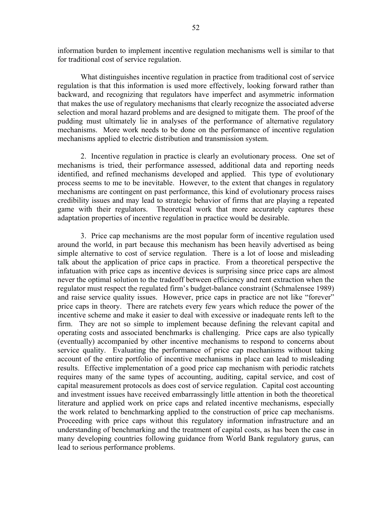information burden to implement incentive regulation mechanisms well is similar to that for traditional cost of service regulation.

What distinguishes incentive regulation in practice from traditional cost of service regulation is that this information is used more effectively, looking forward rather than backward, and recognizing that regulators have imperfect and asymmetric information that makes the use of regulatory mechanisms that clearly recognize the associated adverse selection and moral hazard problems and are designed to mitigate them. The proof of the pudding must ultimately lie in analyses of the performance of alternative regulatory mechanisms. More work needs to be done on the performance of incentive regulation mechanisms applied to electric distribution and transmission system.

2. Incentive regulation in practice is clearly an evolutionary process. One set of mechanisms is tried, their performance assessed, additional data and reporting needs identified, and refined mechanisms developed and applied. This type of evolutionary process seems to me to be inevitable. However, to the extent that changes in regulatory mechanisms are contingent on past performance, this kind of evolutionary process raises credibility issues and may lead to strategic behavior of firms that are playing a repeated game with their regulators. Theoretical work that more accurately captures these adaptation properties of incentive regulation in practice would be desirable.

3. Price cap mechanisms are the most popular form of incentive regulation used around the world, in part because this mechanism has been heavily advertised as being simple alternative to cost of service regulation. There is a lot of loose and misleading talk about the application of price caps in practice. From a theoretical perspective the infatuation with price caps as incentive devices is surprising since price caps are almost never the optimal solution to the tradeoff between efficiency and rent extraction when the regulator must respect the regulated firm's budget-balance constraint (Schmalensee 1989) and raise service quality issues. However, price caps in practice are not like "forever" price caps in theory. There are ratchets every few years which reduce the power of the incentive scheme and make it easier to deal with excessive or inadequate rents left to the firm. They are not so simple to implement because defining the relevant capital and operating costs and associated benchmarks is challenging. Price caps are also typically (eventually) accompanied by other incentive mechanisms to respond to concerns about service quality. Evaluating the performance of price cap mechanisms without taking account of the entire portfolio of incentive mechanisms in place can lead to misleading results. Effective implementation of a good price cap mechanism with periodic ratchets requires many of the same types of accounting, auditing, capital service, and cost of capital measurement protocols as does cost of service regulation. Capital cost accounting and investment issues have received embarrassingly little attention in both the theoretical literature and applied work on price caps and related incentive mechanisms, especially the work related to benchmarking applied to the construction of price cap mechanisms. Proceeding with price caps without this regulatory information infrastructure and an understanding of benchmarking and the treatment of capital costs, as has been the case in many developing countries following guidance from World Bank regulatory gurus, can lead to serious performance problems.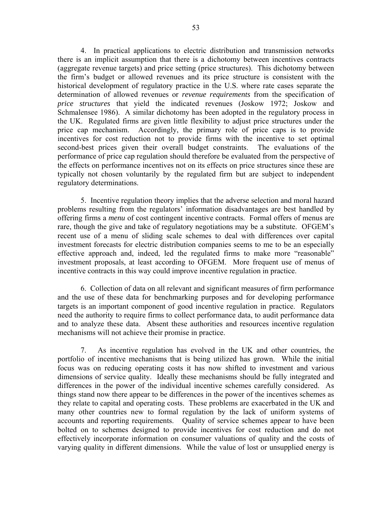4. In practical applications to electric distribution and transmission networks there is an implicit assumption that there is a dichotomy between incentives contracts (aggregate revenue targets) and price setting (price structures). This dichotomy between the firm's budget or allowed revenues and its price structure is consistent with the historical development of regulatory practice in the U.S. where rate cases separate the determination of allowed revenues or *revenue requirements* from the specification of *price structures* that yield the indicated revenues (Joskow 1972; Joskow and Schmalensee 1986). A similar dichotomy has been adopted in the regulatory process in the UK. Regulated firms are given little flexibility to adjust price structures under the price cap mechanism. Accordingly, the primary role of price caps is to provide incentives for cost reduction not to provide firms with the incentive to set optimal second-best prices given their overall budget constraints. The evaluations of the performance of price cap regulation should therefore be evaluated from the perspective of the effects on performance incentives not on its effects on price structures since these are typically not chosen voluntarily by the regulated firm but are subject to independent regulatory determinations.

5. Incentive regulation theory implies that the adverse selection and moral hazard problems resulting from the regulators' information disadvantages are best handled by offering firms a *menu* of cost contingent incentive contracts. Formal offers of menus are rare, though the give and take of regulatory negotiations may be a substitute. OFGEM's recent use of a menu of sliding scale schemes to deal with differences over capital investment forecasts for electric distribution companies seems to me to be an especially effective approach and, indeed, led the regulated firms to make more "reasonable" investment proposals, at least according to OFGEM. More frequent use of menus of incentive contracts in this way could improve incentive regulation in practice.

6. Collection of data on all relevant and significant measures of firm performance and the use of these data for benchmarking purposes and for developing performance targets is an important component of good incentive regulation in practice. Regulators need the authority to require firms to collect performance data, to audit performance data and to analyze these data. Absent these authorities and resources incentive regulation mechanisms will not achieve their promise in practice.

7. As incentive regulation has evolved in the UK and other countries, the portfolio of incentive mechanisms that is being utilized has grown. While the initial focus was on reducing operating costs it has now shifted to investment and various dimensions of service quality. Ideally these mechanisms should be fully integrated and differences in the power of the individual incentive schemes carefully considered. As things stand now there appear to be differences in the power of the incentives schemes as they relate to capital and operating costs. These problems are exacerbated in the UK and many other countries new to formal regulation by the lack of uniform systems of accounts and reporting requirements. Quality of service schemes appear to have been bolted on to schemes designed to provide incentives for cost reduction and do not effectively incorporate information on consumer valuations of quality and the costs of varying quality in different dimensions. While the value of lost or unsupplied energy is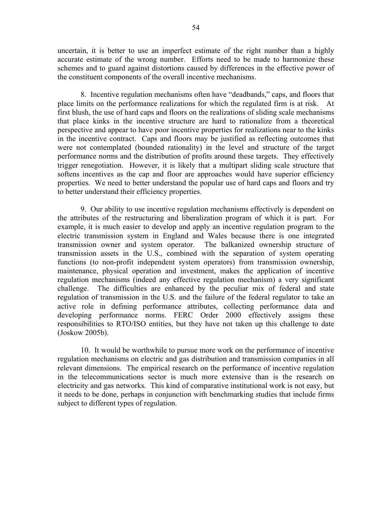uncertain, it is better to use an imperfect estimate of the right number than a highly accurate estimate of the wrong number. Efforts need to be made to harmonize these schemes and to guard against distortions caused by differences in the effective power of the constituent components of the overall incentive mechanisms.

8. Incentive regulation mechanisms often have "deadbands," caps, and floors that place limits on the performance realizations for which the regulated firm is at risk. At first blush, the use of hard caps and floors on the realizations of sliding scale mechanisms that place kinks in the incentive structure are hard to rationalize from a theoretical perspective and appear to have poor incentive properties for realizations near to the kinks in the incentive contract. Caps and floors may be justified as reflecting outcomes that were not contemplated (bounded rationality) in the level and structure of the target performance norms and the distribution of profits around these targets. They effectively trigger renegotiation. However, it is likely that a multipart sliding scale structure that softens incentives as the cap and floor are approaches would have superior efficiency properties. We need to better understand the popular use of hard caps and floors and try to better understand their efficiency properties.

9. Our ability to use incentive regulation mechanisms effectively is dependent on the attributes of the restructuring and liberalization program of which it is part. For example, it is much easier to develop and apply an incentive regulation program to the electric transmission system in England and Wales because there is one integrated transmission owner and system operator. The balkanized ownership structure of transmission assets in the U.S., combined with the separation of system operating functions (to non-profit independent system operators) from transmission ownership, maintenance, physical operation and investment, makes the application of incentive regulation mechanisms (indeed any effective regulation mechanism) a very significant challenge. The difficulties are enhanced by the peculiar mix of federal and state regulation of transmission in the U.S. and the failure of the federal regulator to take an active role in defining performance attributes, collecting performance data and developing performance norms. FERC Order 2000 effectively assigns these responsibilities to RTO/ISO entities, but they have not taken up this challenge to date (Joskow 2005b).

10. It would be worthwhile to pursue more work on the performance of incentive regulation mechanisms on electric and gas distribution and transmission companies in all relevant dimensions. The empirical research on the performance of incentive regulation in the telecommunications sector is much more extensive than is the research on electricity and gas networks. This kind of comparative institutional work is not easy, but it needs to be done, perhaps in conjunction with benchmarking studies that include firms subject to different types of regulation.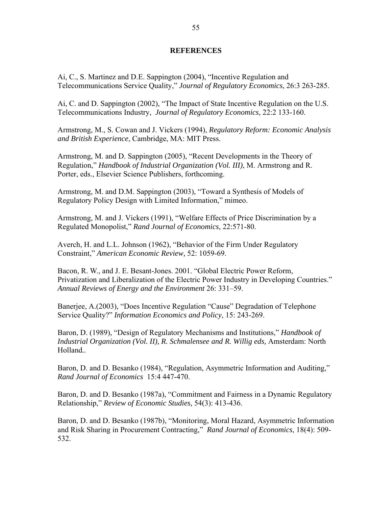## **REFERENCES**

Ai, C., S. Martinez and D.E. Sappington (2004), "Incentive Regulation and Telecommunications Service Quality," *Journal of Regulatory Economics*, 26:3 263-285.

Ai, C. and D. Sappington (2002), "The Impact of State Incentive Regulation on the U.S. Telecommunications Industry, *Journal of Regulatory Economics*, 22:2 133-160.

Armstrong, M., S. Cowan and J. Vickers (1994), *Regulatory Reform: Economic Analysis and British Experience*, Cambridge, MA: MIT Press.

Armstrong, M. and D. Sappington (2005), "Recent Developments in the Theory of Regulation," *Handbook of Industrial Organization (Vol. III)*, M. Armstrong and R. Porter, eds., Elsevier Science Publishers, forthcoming.

Armstrong, M. and D.M. Sappington (2003), "Toward a Synthesis of Models of Regulatory Policy Design with Limited Information," mimeo.

Armstrong, M. and J. Vickers (1991), "Welfare Effects of Price Discrimination by a Regulated Monopolist," *Rand Journal of Economics*, 22:571-80.

Averch, H. and L.L. Johnson (1962), "Behavior of the Firm Under Regulatory Constraint," *American Economic Review,* 52: 1059-69.

Bacon, R. W., and J. E. Besant-Jones. 2001. "Global Electric Power Reform, Privatization and Liberalization of the Electric Power Industry in Developing Countries." *Annual Reviews of Energy and the Environment* 26: 331–59.

Banerjee, A.(2003), "Does Incentive Regulation "Cause" Degradation of Telephone Service Quality?" *Information Economics and Policy*, 15: 243-269.

Baron, D. (1989), "Design of Regulatory Mechanisms and Institutions," *Handbook of Industrial Organization (Vol. II), R. Schmalensee and R. Willig eds, Amsterdam: North* Holland*..* 

Baron, D. and D. Besanko (1984), "Regulation, Asymmetric Information and Auditing," *Rand Journal of Economics* 15:4 447-470.

Baron, D. and D. Besanko (1987a), "Commitment and Fairness in a Dynamic Regulatory Relationship," *Review of Economic Studies,* 54(3): 413-436.

Baron, D. and D. Besanko (1987b), "Monitoring, Moral Hazard, Asymmetric Information and Risk Sharing in Procurement Contracting," *Rand Journal of Economics*, 18(4): 509- 532.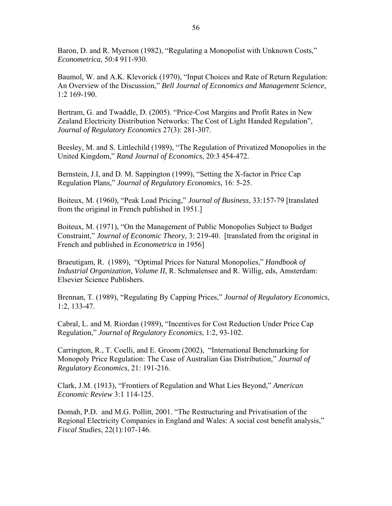Baron, D. and R. Myerson (1982), "Regulating a Monopolist with Unknown Costs," *Econometrica*, 50:4 911-930.

Baumol, W. and A.K. Klevorick (1970), "Input Choices and Rate of Return Regulation: An Overview of the Discussion," *Bell Journal of Economics and Management Science,*  1:2 169-190.

Bertram, G. and Twaddle, D. (2005). "Price-Cost Margins and Profit Rates in New Zealand Electricity Distribution Networks: The Cost of Light Handed Regulation", *Journal of Regulatory Economics* 27(3): 281-307.

Beesley, M. and S. Littlechild (1989), "The Regulation of Privatized Monopolies in the United Kingdom," *Rand Journal of Economics*, 20:3 454-472.

Bernstein, J.I, and D. M. Sappington (1999), "Setting the X-factor in Price Cap Regulation Plans," *Journal of Regulatory Economics,* 16: 5-25.

Boiteux, M. (1960), "Peak Load Pricing," *Journal of Business*, 33:157-79 [translated from the original in French published in 1951.]

Boiteux, M. (1971), "On the Management of Public Monopolies Subject to Budget Constraint," *Journal of Economic Theory*, 3: 219-40. [translated from the original in French and published in *Econometrica* in 1956]

Braeutigam, R. (1989), "Optimal Prices for Natural Monopolies," *Handbook of Industrial Organization, Volume II,* R. Schmalensee and R. Willig, eds, Amsterdam: Elsevier Science Publishers.

Brennan, T. (1989), "Regulating By Capping Prices," *Journal of Regulatory Economics*, 1:2, 133-47.

Cabral, L. and M. Riordan (1989), "Incentives for Cost Reduction Under Price Cap Regulation," *Journal of Regulatory Economics*, 1:2, 93-102.

Carrington, R., T. Coelli, and E. Groom (2002), "International Benchmarking for Monopoly Price Regulation: The Case of Australian Gas Distribution," *Journal of Regulatory Economics*, 21: 191-216.

Clark, J.M. (1913), "Frontiers of Regulation and What Lies Beyond," *American Economic Review* 3:1 114-125.

Domah, P.D. and M.G. Pollitt, 2001. "The Restructuring and Privatisation of the Regional Electricity Companies in England and Wales: A social cost benefit analysis," *Fiscal Studies*, 22(1):107-146.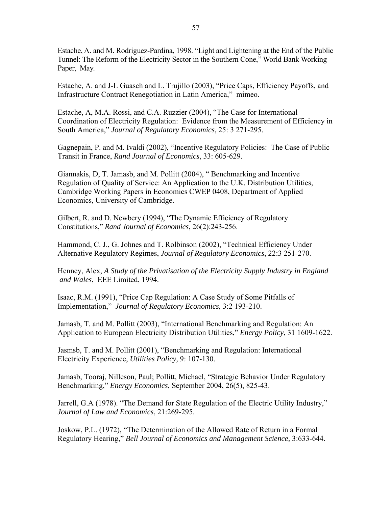Estache, A. and M. Rodriguez-Pardina, 1998. "Light and Lightening at the End of the Public Tunnel: The Reform of the Electricity Sector in the Southern Cone," World Bank Working Paper, May.

Estache, A. and J-L Guasch and L. Trujillo (2003), "Price Caps, Efficiency Payoffs, and Infrastructure Contract Renegotiation in Latin America," mimeo.

Estache, A, M.A. Rossi, and C.A. Ruzzier (2004), "The Case for International Coordination of Electricity Regulation: Evidence from the Measurement of Efficiency in South America," *Journal of Regulatory Economics*, 25: 3 271-295.

Gagnepain, P. and M. Ivaldi (2002), "Incentive Regulatory Policies: The Case of Public Transit in France, *Rand Journal of Economics*, 33: 605-629.

Giannakis, D, T. Jamasb, and M. Pollitt (2004), " Benchmarking and Incentive Regulation of Quality of Service: An Application to the U.K. Distribution Utilities, Cambridge Working Papers in Economics CWEP 0408, Department of Applied Economics, University of Cambridge.

Gilbert, R. and D. Newbery (1994), "The Dynamic Efficiency of Regulatory Constitutions," *Rand Journal of Economics*, 26(2):243-256.

Hammond, C. J., G. Johnes and T. Rolbinson (2002), "Technical Efficiency Under Alternative Regulatory Regimes, *Journal of Regulatory Economics*, 22:3 251-270.

Henney, Alex, *A Study of the Privatisation of the Electricity Supply Industry in England and Wales*, EEE Limited, 1994.

Isaac, R.M. (1991), "Price Cap Regulation: A Case Study of Some Pitfalls of Implementation," *Journal of Regulatory Economics*, 3:2 193-210.

Jamasb, T. and M. Pollitt (2003), "International Benchmarking and Regulation: An Application to European Electricity Distribution Utilities," *Energy Policy*, 31 1609-1622.

Jasmsb, T. and M. Pollitt (2001), "Benchmarking and Regulation: International Electricity Experience, *Utilities Policy,* 9: 107-130.

Jamasb, Tooraj, Nilleson, Paul; Pollitt, Michael, "Strategic Behavior Under Regulatory Benchmarking," *Energy Economics*, September 2004, 26(5), 825-43.

Jarrell, G.A (1978). "The Demand for State Regulation of the Electric Utility Industry," *Journal of Law and Economics*, 21:269-295.

Joskow, P.L. (1972), "The Determination of the Allowed Rate of Return in a Formal Regulatory Hearing," *Bell Journal of Economics and Management Science,* 3:633-644.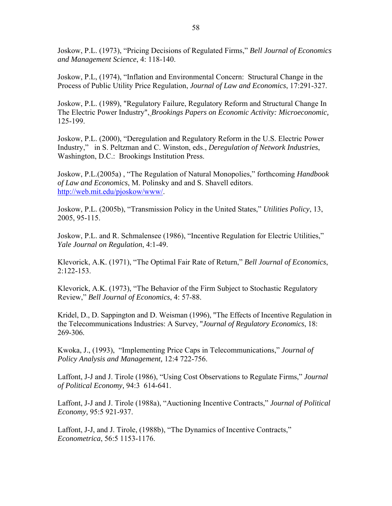Joskow, P.L. (1973), "Pricing Decisions of Regulated Firms," *Bell Journal of Economics and Management Science*, 4: 118-140.

Joskow, P.L, (1974), "Inflation and Environmental Concern: Structural Change in the Process of Public Utility Price Regulation, *Journal of Law and Economics*, 17:291-327.

Joskow, P.L. (1989), "Regulatory Failure, Regulatory Reform and Structural Change In The Electric Power Industry", *Brookings Papers on Economic Activity: Microeconomic,* 125-199.

Joskow, P.L. (2000), "Deregulation and Regulatory Reform in the U.S. Electric Power Industry," in S. Peltzman and C. Winston, eds., *Deregulation of Network Industries*, Washington, D.C.: Brookings Institution Press.

Joskow, P.L.(2005a) , "The Regulation of Natural Monopolies," forthcoming *Handbook of Law and Economics*, M. Polinsky and and S. Shavell editors. http://web.mit.edu/pjoskow/www/.

Joskow, P.L. (2005b), "Transmission Policy in the United States," *Utilities Policy*, 13, 2005, 95-115.

Joskow, P.L. and R. Schmalensee (1986), "Incentive Regulation for Electric Utilities," *Yale Journal on Regulation*, 4:1-49.

Klevorick, A.K. (1971), "The Optimal Fair Rate of Return," *Bell Journal of Economics*, 2:122-153.

Klevorick, A.K. (1973), "The Behavior of the Firm Subject to Stochastic Regulatory Review," *Bell Journal of Economics*, 4: 57-88.

Kridel, D., D. Sappington and D. Weisman (1996), "The Effects of Incentive Regulation in the Telecommunications Industries: A Survey, "*Journal of Regulatory Economics*, 18: 269-306.

Kwoka, J., (1993), "Implementing Price Caps in Telecommunications," *Journal of Policy Analysis and Management,* 12:4 722-756.

Laffont, J-J and J. Tirole (1986), "Using Cost Observations to Regulate Firms," *Journal of Political Economy,* 94:3 614-641.

Laffont, J-J and J. Tirole (1988a), "Auctioning Incentive Contracts," *Journal of Political Economy,* 95:5 921-937.

Laffont, J-J, and J. Tirole, (1988b), "The Dynamics of Incentive Contracts," *Econometrica*, 56:5 1153-1176.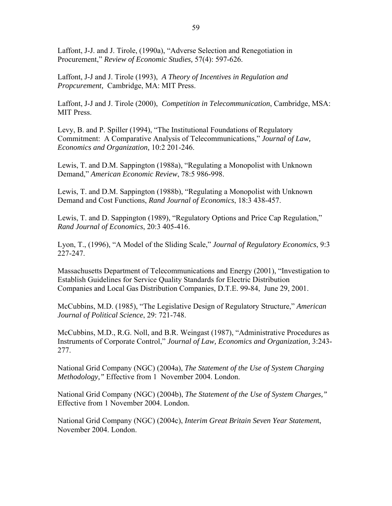Laffont, J-J. and J. Tirole, (1990a), "Adverse Selection and Renegotiation in Procurement," *Review of Economic Studies,* 57(4): 597-626.

Laffont, J-J and J. Tirole (1993), *A Theory of Incentives in Regulation and Propcurement,* Cambridge, MA: MIT Press.

Laffont, J-J and J. Tirole (2000), *Competition in Telecommunication*, Cambridge, MSA: MIT Press.

Levy, B. and P. Spiller (1994), "The Institutional Foundations of Regulatory Commitment: A Comparative Analysis of Telecommunications," *Journal of Law, Economics and Organization,* 10:2 201-246.

Lewis, T. and D.M. Sappington (1988a), "Regulating a Monopolist with Unknown Demand," *American Economic Review*, 78:5 986-998.

Lewis, T. and D.M. Sappington (1988b), "Regulating a Monopolist with Unknown Demand and Cost Functions, *Rand Journal of Economics*, 18:3 438-457.

Lewis, T. and D. Sappington (1989), "Regulatory Options and Price Cap Regulation," *Rand Journal of Economics*, 20:3 405-416.

Lyon, T., (1996), "A Model of the Sliding Scale," *Journal of Regulatory Economics*, 9:3 227-247.

Massachusetts Department of Telecommunications and Energy (2001), "Investigation to Establish Guidelines for Service Quality Standards for Electric Distribution Companies and Local Gas Distribution Companies, D.T.E. 99-84, June 29, 2001.

McCubbins, M.D. (1985), "The Legislative Design of Regulatory Structure," *American Journal of Political Science*, 29: 721-748.

McCubbins, M.D., R.G. Noll, and B.R. Weingast (1987), "Administrative Procedures as Instruments of Corporate Control," *Journal of Law, Economics and Organization,* 3:243- 277.

National Grid Company (NGC) (2004a), *The Statement of the Use of System Charging Methodology,"* Effective from 1 November 2004. London.

National Grid Company (NGC) (2004b), *The Statement of the Use of System Charges,"*  Effective from 1 November 2004. London.

National Grid Company (NGC) (2004c), *Interim Great Britain Seven Year Statemen*t, November 2004. London.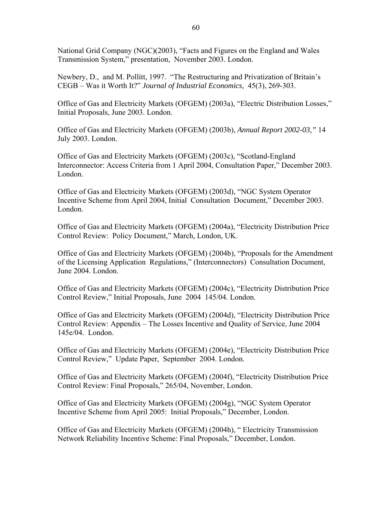National Grid Company (NGC)(2003), "Facts and Figures on the England and Wales Transmission System," presentation, November 2003. London.

Newbery, D., and M. Pollitt, 1997. "The Restructuring and Privatization of Britain's CEGB – Was it Worth It?" *Journal of Industrial Economics,* 45(3), 269-303.

Office of Gas and Electricity Markets (OFGEM) (2003a), "Electric Distribution Losses," Initial Proposals, June 2003. London.

Office of Gas and Electricity Markets (OFGEM) (2003b), *Annual Report 2002-03,"* 14 July 2003. London.

Office of Gas and Electricity Markets (OFGEM) (2003c), "Scotland-England Interconnector: Access Criteria from 1 April 2004, Consultation Paper," December 2003. London.

Office of Gas and Electricity Markets (OFGEM) (2003d), "NGC System Operator Incentive Scheme from April 2004, Initial Consultation Document," December 2003. London.

Office of Gas and Electricity Markets (OFGEM) (2004a), "Electricity Distribution Price Control Review: Policy Document," March, London, UK.

Office of Gas and Electricity Markets (OFGEM) (2004b), "Proposals for the Amendment of the Licensing Application Regulations," (Interconnectors) Consultation Document, June 2004. London.

Office of Gas and Electricity Markets (OFGEM) (2004c), "Electricity Distribution Price Control Review," Initial Proposals, June 2004 145/04. London.

Office of Gas and Electricity Markets (OFGEM) (2004d), "Electricity Distribution Price Control Review: Appendix – The Losses Incentive and Quality of Service, June 2004 145e/04. London.

Office of Gas and Electricity Markets (OFGEM) (2004e), "Electricity Distribution Price Control Review," Update Paper, September 2004. London.

Office of Gas and Electricity Markets (OFGEM) (2004f), "Electricity Distribution Price Control Review: Final Proposals," 265/04, November, London.

Office of Gas and Electricity Markets (OFGEM) (2004g), "NGC System Operator Incentive Scheme from April 2005: Initial Proposals," December, London.

Office of Gas and Electricity Markets (OFGEM) (2004h), " Electricity Transmission Network Reliability Incentive Scheme: Final Proposals," December, London.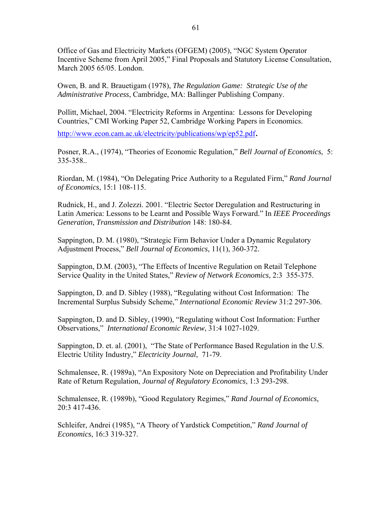Office of Gas and Electricity Markets (OFGEM) (2005), "NGC System Operator Incentive Scheme from April 2005," Final Proposals and Statutory License Consultation, March 2005 65/05. London.

Owen, B. and R. Brauetigam (1978), *The Regulation Game: Strategic Use of the Administrative Process*, Cambridge, MA: Ballinger Publishing Company.

Pollitt, Michael, 2004. "Electricity Reforms in Argentina: Lessons for Developing Countries," CMI Working Paper 52, Cambridge Working Papers in Economics.

http://www.econ.cam.ac.uk/electricity/publications/wp/ep52.pdf.

Posner, R.A., (1974), "Theories of Economic Regulation," *Bell Journal of Economics*, 5: 335-358..

Riordan, M. (1984), "On Delegating Price Authority to a Regulated Firm," *Rand Journal of Economics*, 15:1 108-115.

Rudnick, H., and J. Zolezzi. 2001. "Electric Sector Deregulation and Restructuring in Latin America: Lessons to be Learnt and Possible Ways Forward." In *IEEE Proceedings Generation, Transmission and Distribution* 148: 180-84.

Sappington, D. M. (1980), "Strategic Firm Behavior Under a Dynamic Regulatory Adjustment Process," *Bell Journal of Economics*, 11(1), 360-372.

Sappington, D.M. (2003), "The Effects of Incentive Regulation on Retail Telephone Service Quality in the United States," *Review of Network Economics*, 2:3 355-375.

Sappington, D. and D. Sibley (1988), "Regulating without Cost Information: The Incremental Surplus Subsidy Scheme," *International Economic Review* 31:2 297-306.

Sappington, D. and D. Sibley, (1990), "Regulating without Cost Information: Further Observations," *International Economic Review*, 31:4 1027-1029.

Sappington, D. et. al. (2001), "The State of Performance Based Regulation in the U.S. Electric Utility Industry," *Electricity Journal*, 71-79.

Schmalensee, R. (1989a), "An Expository Note on Depreciation and Profitability Under Rate of Return Regulation, *Journal of Regulatory Economics*, 1:3 293-298.

Schmalensee, R. (1989b), "Good Regulatory Regimes," *Rand Journal of Economics,* 20:3 417-436.

Schleifer, Andrei (1985), "A Theory of Yardstick Competition," *Rand Journal of Economics*, 16:3 319-327.